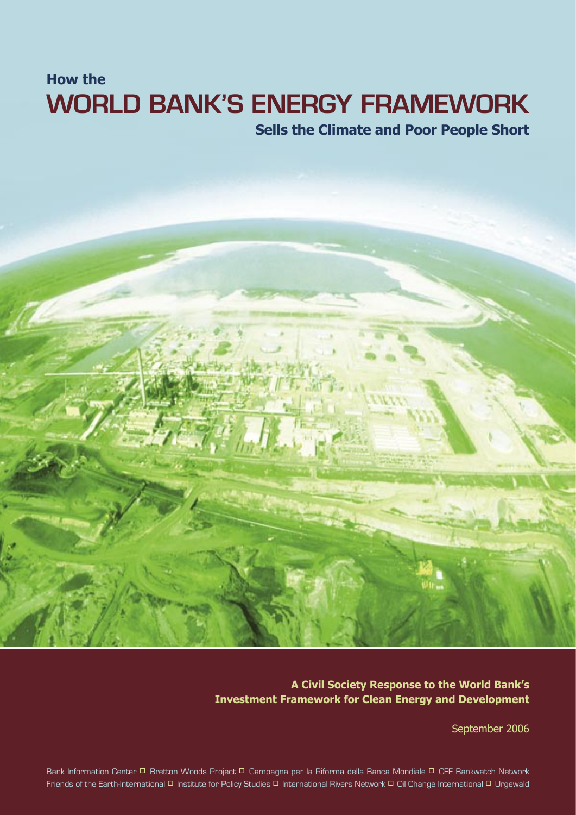### **WORLD BANK'S ENERGY FRAMEWORK How the Sells the Climate and Poor People Short**

### **A Civil Society Response to the World Bank's Investment Framework for Clean Energy and Development**

September 2006

Bank Information Center <sup>D</sup> Bretton Woods Project <sup>D</sup> Campagna per la Riforma della Banca Mondiale <sup>D</sup> CEE Bankwatch Network Friends of the Earth-International <sup>[]</sup> Institute for Policy Studies <sup>[1]</sup> International Rivers Network <sup>[1]</sup> Oil Change International <sup>[1]</sup> Urgewald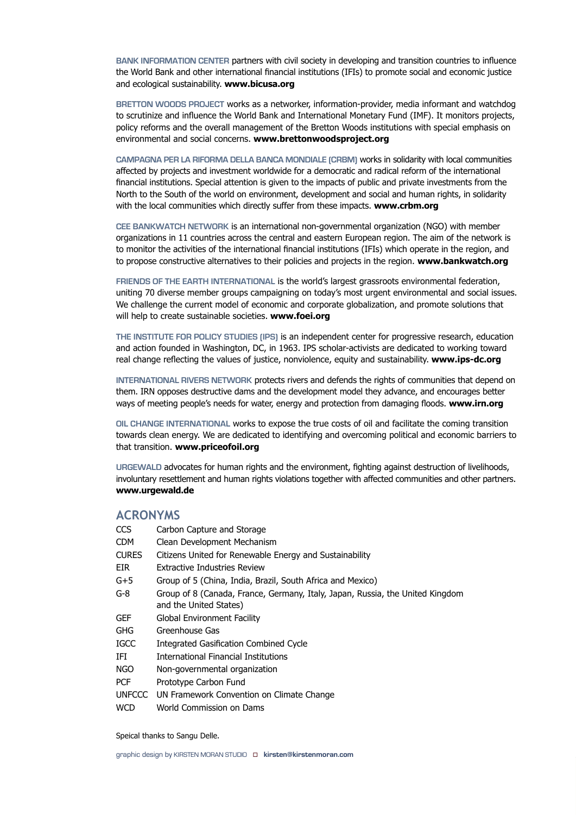**BANK INFORMATION CENTER** partners with civil society in developing and transition countries to influence the World Bank and other international financial institutions (IFIs) to promote social and economic justice and ecological sustainability. **www.bicusa.org**

**BRETTON WOODS PROJECT** works as a networker, information-provider, media informant and watchdog to scrutinize and influence the World Bank and International Monetary Fund (IMF). It monitors projects, policy reforms and the overall management of the Bretton Woods institutions with special emphasis on environmental and social concerns. **www.brettonwoodsproject.org**

**CAMPAGNA PER LA RIFORMA DELLA BANCA MONDIALE (CRBM)** works in solidarity with local communities affected by projects and investment worldwide for a democratic and radical reform of the international financial institutions. Special attention is given to the impacts of public and private investments from the North to the South of the world on environment, development and social and human rights, in solidarity with the local communities which directly suffer from these impacts. **www.crbm.org**

**CEE BANKWATCH NETWORK** is an international non-governmental organization (NGO) with member organizations in 11 countries across the central and eastern European region. The aim of the network is to monitor the activities of the international financial institutions (IFIs) which operate in the region, and to propose constructive alternatives to their policies and projects in the region. **www.bankwatch.org**

**FRIENDS OF THE EARTH INTERNATIONAL** is the world's largest grassroots environmental federation, uniting 70 diverse member groups campaigning on today's most urgent environmental and social issues. We challenge the current model of economic and corporate globalization, and promote solutions that will help to create sustainable societies. **www.foei.org**

**THE INSTITUTE FOR POLICY STUDIES (IPS)** is an independent center for progressive research, education and action founded in Washington, DC, in 1963. IPS scholar-activists are dedicated to working toward real change reflecting the values of justice, nonviolence, equity and sustainability. **www.ips-dc.org**

**INTERNATIONAL RIVERS NETWORK** protects rivers and defends the rights of communities that depend on them. IRN opposes destructive dams and the development model they advance, and encourages better ways of meeting people's needs for water, energy and protection from damaging floods. **www.irn.org**

**OIL CHANGE INTERNATIONAL** works to expose the true costs of oil and facilitate the coming transition towards clean energy. We are dedicated to identifying and overcoming political and economic barriers to that transition. **www.priceofoil.org**

**URGEWALD** advocates for human rights and the environment, fighting against destruction of livelihoods, involuntary resettlement and human rights violations together with affected communities and other partners. **www.urgewald.de**

#### **ACRONYMS**

| CCS           | Carbon Capture and Storage                                                                              |
|---------------|---------------------------------------------------------------------------------------------------------|
| CDM           | Clean Development Mechanism                                                                             |
| <b>CURES</b>  | Citizens United for Renewable Energy and Sustainability                                                 |
| eir           | <b>Extractive Industries Review</b>                                                                     |
| G+5           | Group of 5 (China, India, Brazil, South Africa and Mexico)                                              |
| G-8           | Group of 8 (Canada, France, Germany, Italy, Japan, Russia, the United Kingdom<br>and the United States) |
| GEF           | Global Environment Facility                                                                             |
| GHG           | Greenhouse Gas                                                                                          |
| IGCC          | Integrated Gasification Combined Cycle                                                                  |
| IFI           | International Financial Institutions                                                                    |
| NGO           | Non-governmental organization                                                                           |
| PCF           | Prototype Carbon Fund                                                                                   |
| <b>UNFCCC</b> | UN Framework Convention on Climate Change                                                               |
| WCD           | World Commission on Dams                                                                                |
|               |                                                                                                         |

Speical thanks to Sangu Delle.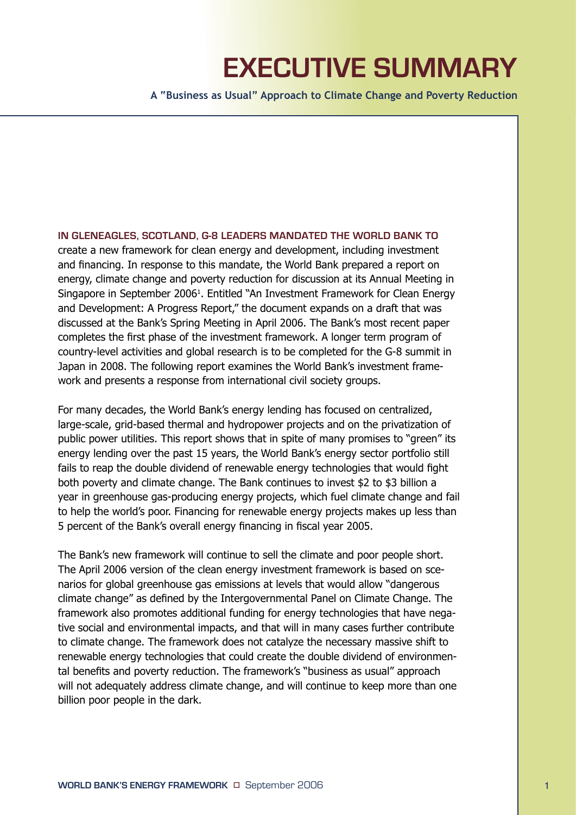# **EXECUTIVE SUMMARY**

**A "Business as Usual" Approach to Climate Change and Poverty Reduction**

**IN GLENEAGLES, SCOTLAND, G-8 LEADERS MANDATED THE WORLD BANK TO** 

create a new framework for clean energy and development, including investment and financing. In response to this mandate, the World Bank prepared a report on energy, climate change and poverty reduction for discussion at its Annual Meeting in Singapore in September 2006<sup>1</sup>. Entitled "An Investment Framework for Clean Energy and Development: A Progress Report," the document expands on a draft that was discussed at the Bank's Spring Meeting in April 2006. The Bank's most recent paper completes the first phase of the investment framework. A longer term program of country-level activities and global research is to be completed for the G-8 summit in Japan in 2008. The following report examines the World Bank's investment framework and presents a response from international civil society groups.

For many decades, the World Bank's energy lending has focused on centralized, large-scale, grid-based thermal and hydropower projects and on the privatization of public power utilities. This report shows that in spite of many promises to "green" its energy lending over the past 15 years, the World Bank's energy sector portfolio still fails to reap the double dividend of renewable energy technologies that would fight both poverty and climate change. The Bank continues to invest \$2 to \$3 billion a year in greenhouse gas-producing energy projects, which fuel climate change and fail to help the world's poor. Financing for renewable energy projects makes up less than 5 percent of the Bank's overall energy financing in fiscal year 2005.

The Bank's new framework will continue to sell the climate and poor people short. The April 2006 version of the clean energy investment framework is based on scenarios for global greenhouse gas emissions at levels that would allow "dangerous climate change" as defined by the Intergovernmental Panel on Climate Change. The framework also promotes additional funding for energy technologies that have negative social and environmental impacts, and that will in many cases further contribute to climate change. The framework does not catalyze the necessary massive shift to renewable energy technologies that could create the double dividend of environmental benefits and poverty reduction. The framework's "business as usual" approach will not adequately address climate change, and will continue to keep more than one billion poor people in the dark.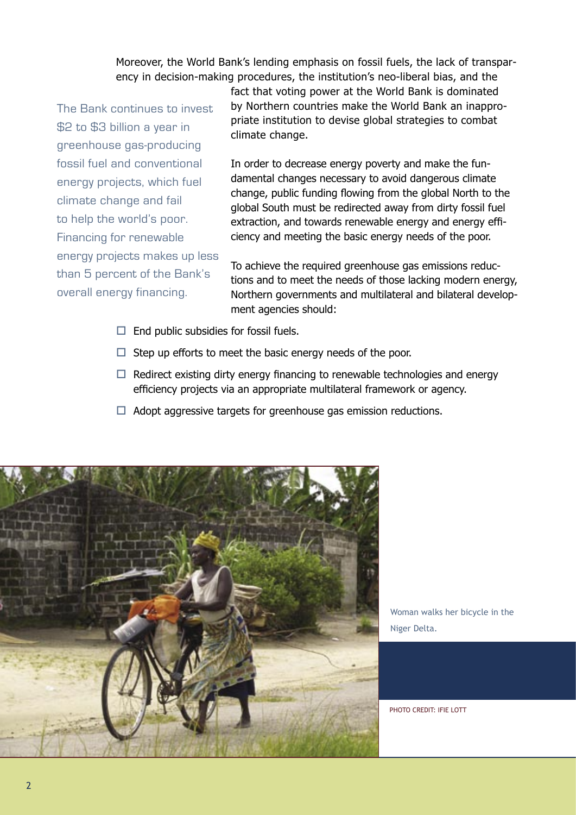Moreover, the World Bank's lending emphasis on fossil fuels, the lack of transparency in decision-making procedures, the institution's neo-liberal bias, and the

The Bank continues to invest \$2 to \$3 billion a year in greenhouse gas-producing fossil fuel and conventional energy projects, which fuel climate change and fail to help the world's poor. Financing for renewable energy projects makes up less than 5 percent of the Bank's overall energy financing.

fact that voting power at the World Bank is dominated by Northern countries make the World Bank an inappropriate institution to devise global strategies to combat climate change.

In order to decrease energy poverty and make the fundamental changes necessary to avoid dangerous climate change, public funding flowing from the global North to the global South must be redirected away from dirty fossil fuel extraction, and towards renewable energy and energy efficiency and meeting the basic energy needs of the poor.

To achieve the required greenhouse gas emissions reductions and to meet the needs of those lacking modern energy, Northern governments and multilateral and bilateral development agencies should:

- $\Box$  End public subsidies for fossil fuels.
- $\Box$  Step up efforts to meet the basic energy needs of the poor.
- $\Box$  Redirect existing dirty energy financing to renewable technologies and energy efficiency projects via an appropriate multilateral framework or agency.
- $\Box$  Adopt aggressive targets for greenhouse gas emission reductions.



Woman walks her bicycle in the Niger Delta.

PHOTO CREDIT: IFIE LOTT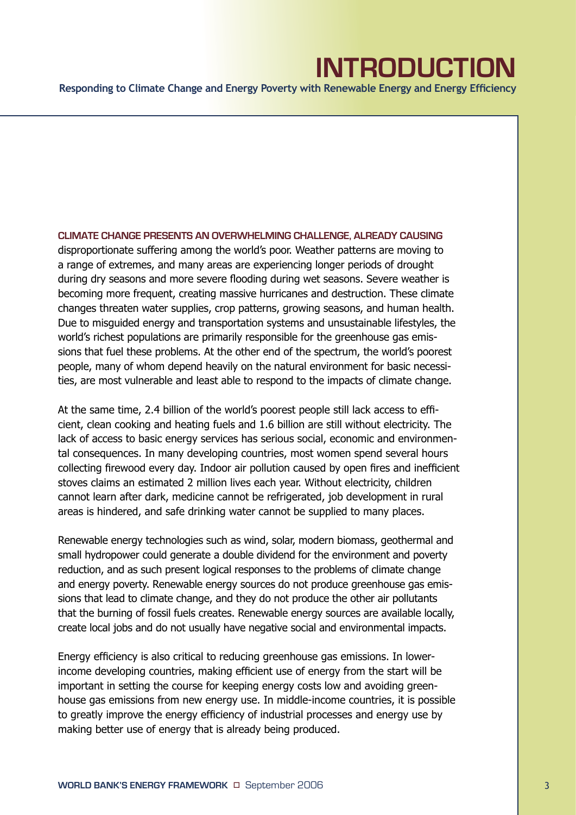### **INTRODUCTION**

**Responding to Climate Change and Energy Poverty with Renewable Energy and Energy Efficiency**

**CLIMATE CHANGE PRESENTS AN OVERWHELMING CHALLENGE, ALREADY CAUSING**  disproportionate suffering among the world's poor. Weather patterns are moving to a range of extremes, and many areas are experiencing longer periods of drought during dry seasons and more severe flooding during wet seasons. Severe weather is becoming more frequent, creating massive hurricanes and destruction. These climate changes threaten water supplies, crop patterns, growing seasons, and human health. Due to misguided energy and transportation systems and unsustainable lifestyles, the world's richest populations are primarily responsible for the greenhouse gas emissions that fuel these problems. At the other end of the spectrum, the world's poorest people, many of whom depend heavily on the natural environment for basic necessities, are most vulnerable and least able to respond to the impacts of climate change.

At the same time, 2.4 billion of the world's poorest people still lack access to efficient, clean cooking and heating fuels and 1.6 billion are still without electricity. The lack of access to basic energy services has serious social, economic and environmental consequences. In many developing countries, most women spend several hours collecting firewood every day. Indoor air pollution caused by open fires and inefficient stoves claims an estimated 2 million lives each year. Without electricity, children cannot learn after dark, medicine cannot be refrigerated, job development in rural areas is hindered, and safe drinking water cannot be supplied to many places.

Renewable energy technologies such as wind, solar, modern biomass, geothermal and small hydropower could generate a double dividend for the environment and poverty reduction, and as such present logical responses to the problems of climate change and energy poverty. Renewable energy sources do not produce greenhouse gas emissions that lead to climate change, and they do not produce the other air pollutants that the burning of fossil fuels creates. Renewable energy sources are available locally, create local jobs and do not usually have negative social and environmental impacts.

Energy efficiency is also critical to reducing greenhouse gas emissions. In lowerincome developing countries, making efficient use of energy from the start will be important in setting the course for keeping energy costs low and avoiding greenhouse gas emissions from new energy use. In middle-income countries, it is possible to greatly improve the energy efficiency of industrial processes and energy use by making better use of energy that is already being produced.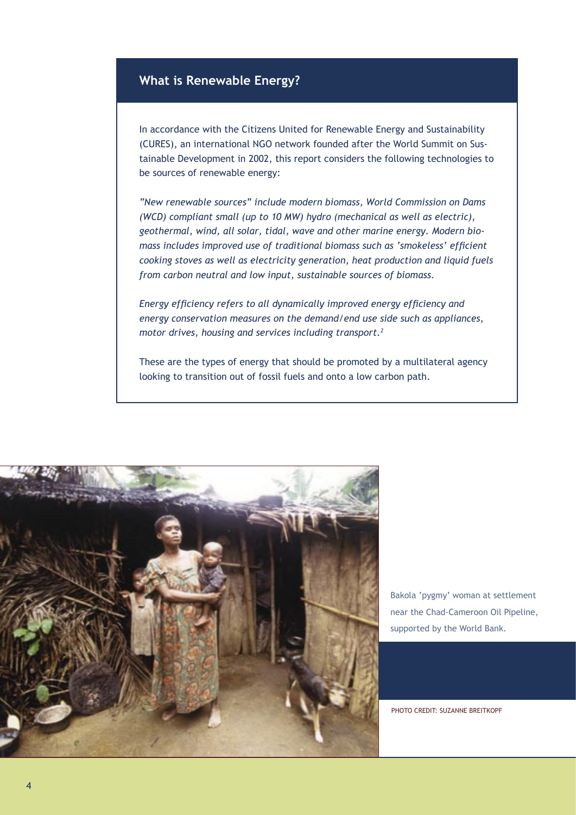#### **What is Renewable Energy?**

In accordance with the Citizens United for Renewable Energy and Sustainability (CURES), an international NGO network founded after the World Summit on Sustainable Development in 2002, this report considers the following technologies to be sources of renewable energy:

*"New renewable sources" include modern biomass, World Commission on Dams (WCD) compliant small (up to 10 MW) hydro (mechanical as well as electric), geothermal, wind, all solar, tidal, wave and other marine energy. Modern biomass includes improved use of traditional biomass such as 'smokeless' efficient cooking stoves as well as electricity generation, heat production and liquid fuels from carbon neutral and low input, sustainable sources of biomass.* 

*Energy efficiency refers to all dynamically improved energy efficiency and energy conservation measures on the demand/end use side such as appliances, motor drives, housing and services including transport.2* 

These are the types of energy that should be promoted by a multilateral agency looking to transition out of fossil fuels and onto a low carbon path.



Bakola 'pygmy' woman at settlement near the Chad-Cameroon Oil Pipeline, supported by the World Bank.

PHOTO CREDIT: SUZANNE BREITKOPF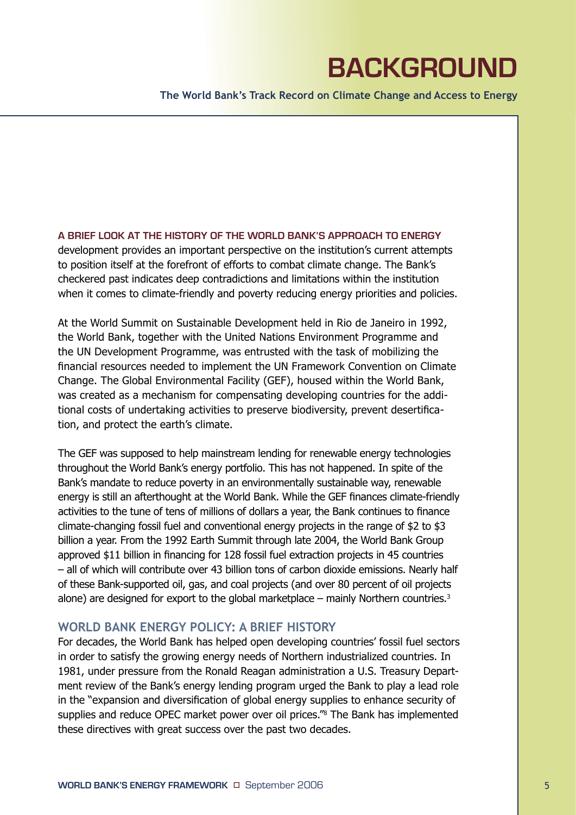# **BACKGROUND**

**The World Bank's Track Record on Climate Change and Access to Energy** 

**A BRIEF LOOK AT THE HISTORY OF THE WORLD BANK'S APPROACH TO ENERGY**  development provides an important perspective on the institution's current attempts to position itself at the forefront of efforts to combat climate change. The Bank's checkered past indicates deep contradictions and limitations within the institution when it comes to climate-friendly and poverty reducing energy priorities and policies.

At the World Summit on Sustainable Development held in Rio de Janeiro in 1992, the World Bank, together with the United Nations Environment Programme and the UN Development Programme, was entrusted with the task of mobilizing the financial resources needed to implement the UN Framework Convention on Climate Change. The Global Environmental Facility (GEF), housed within the World Bank, was created as a mechanism for compensating developing countries for the additional costs of undertaking activities to preserve biodiversity, prevent desertification, and protect the earth's climate.

The GEF was supposed to help mainstream lending for renewable energy technologies throughout the World Bank's energy portfolio. This has not happened. In spite of the Bank's mandate to reduce poverty in an environmentally sustainable way, renewable energy is still an afterthought at the World Bank. While the GEF finances climate-friendly activities to the tune of tens of millions of dollars a year, the Bank continues to finance climate-changing fossil fuel and conventional energy projects in the range of \$2 to \$3 billion a year. From the 1992 Earth Summit through late 2004, the World Bank Group approved \$11 billion in financing for 128 fossil fuel extraction projects in 45 countries – all of which will contribute over 43 billion tons of carbon dioxide emissions. Nearly half of these Bank-supported oil, gas, and coal projects (and over 80 percent of oil projects alone) are designed for export to the global marketplace – mainly Northern countries.<sup>3</sup>

#### **WORLD BANK ENERGY POLICY: A BRIEF HISTORY**

For decades, the World Bank has helped open developing countries' fossil fuel sectors in order to satisfy the growing energy needs of Northern industrialized countries. In 1981, under pressure from the Ronald Reagan administration a U.S. Treasury Department review of the Bank's energy lending program urged the Bank to play a lead role in the "expansion and diversification of global energy supplies to enhance security of supplies and reduce OPEC market power over oil prices."8 The Bank has implemented these directives with great success over the past two decades.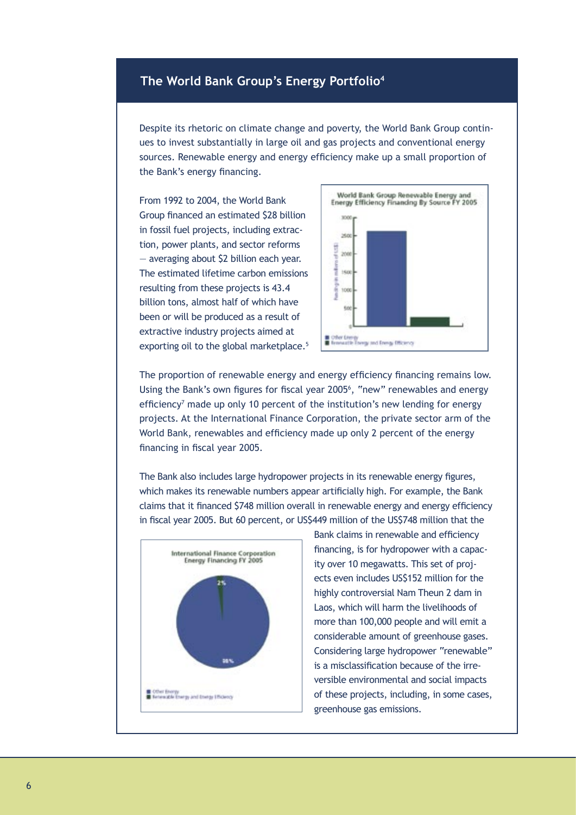### **The World Bank Group's Energy Portfolio4**

Despite its rhetoric on climate change and poverty, the World Bank Group continues to invest substantially in large oil and gas projects and conventional energy sources. Renewable energy and energy efficiency make up a small proportion of the Bank's energy financing.

From 1992 to 2004, the World Bank Group financed an estimated \$28 billion in fossil fuel projects, including extraction, power plants, and sector reforms — averaging about \$2 billion each year. The estimated lifetime carbon emissions resulting from these projects is 43.4 billion tons, almost half of which have been or will be produced as a result of extractive industry projects aimed at exporting oil to the global marketplace.<sup>5</sup>



The proportion of renewable energy and energy efficiency financing remains low. Using the Bank's own figures for fiscal year 2005<sup>6</sup>, "new" renewables and energy efficiency<sup>7</sup> made up only 10 percent of the institution's new lending for energy projects. At the International Finance Corporation, the private sector arm of the World Bank, renewables and efficiency made up only 2 percent of the energy financing in fiscal year 2005.

The Bank also includes large hydropower projects in its renewable energy figures, which makes its renewable numbers appear artificially high. For example, the Bank claims that it financed \$748 million overall in renewable energy and energy efficiency in fiscal year 2005. But 60 percent, or US\$449 million of the US\$748 million that the



Bank claims in renewable and efficiency financing, is for hydropower with a capacity over 10 megawatts. This set of projects even includes US\$152 million for the highly controversial Nam Theun 2 dam in Laos, which will harm the livelihoods of more than 100,000 people and will emit a considerable amount of greenhouse gases. Considering large hydropower "renewable" is a misclassification because of the irreversible environmental and social impacts of these projects, including, in some cases, greenhouse gas emissions.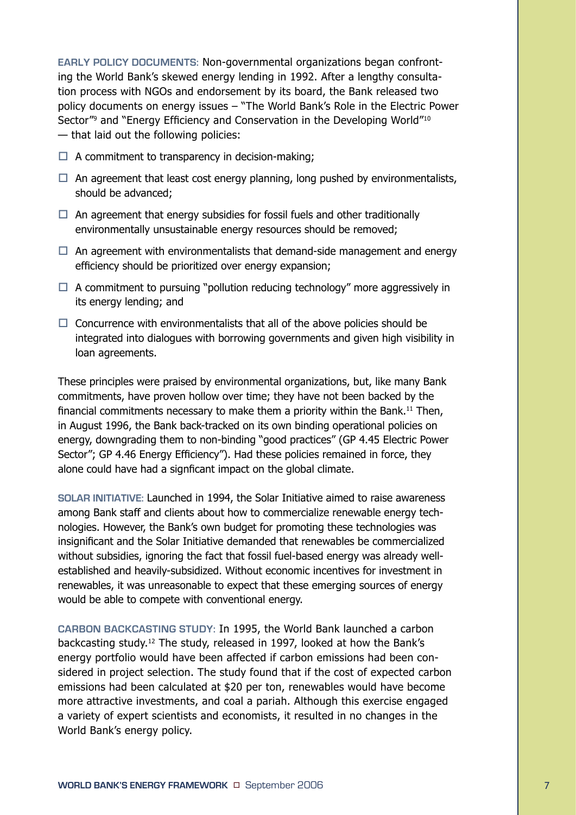**EARLY POLICY DOCUMENTS:** Non-governmental organizations began confronting the World Bank's skewed energy lending in 1992. After a lengthy consultation process with NGOs and endorsement by its board, the Bank released two policy documents on energy issues – "The World Bank's Role in the Electric Power Sector"<sup>9</sup> and "Energy Efficiency and Conservation in the Developing World"<sup>10</sup> — that laid out the following policies:

- $\Box$  A commitment to transparency in decision-making:
- $\Box$  An agreement that least cost energy planning, long pushed by environmentalists, should be advanced;
- $\Box$  An agreement that energy subsidies for fossil fuels and other traditionally environmentally unsustainable energy resources should be removed;
- $\Box$  An agreement with environmentalists that demand-side management and energy efficiency should be prioritized over energy expansion;
- $\Box$  A commitment to pursuing "pollution reducing technology" more aggressively in its energy lending; and
- $\Box$  Concurrence with environmentalists that all of the above policies should be integrated into dialogues with borrowing governments and given high visibility in loan agreements.

These principles were praised by environmental organizations, but, like many Bank commitments, have proven hollow over time; they have not been backed by the financial commitments necessary to make them a priority within the Bank.<sup>11</sup> Then, in August 1996, the Bank back-tracked on its own binding operational policies on energy, downgrading them to non-binding "good practices" (GP 4.45 Electric Power Sector"; GP 4.46 Energy Efficiency"). Had these policies remained in force, they alone could have had a signficant impact on the global climate.

**SOLAR INITIATIVE:** Launched in 1994, the Solar Initiative aimed to raise awareness among Bank staff and clients about how to commercialize renewable energy technologies. However, the Bank's own budget for promoting these technologies was insignificant and the Solar Initiative demanded that renewables be commercialized without subsidies, ignoring the fact that fossil fuel-based energy was already wellestablished and heavily-subsidized. Without economic incentives for investment in renewables, it was unreasonable to expect that these emerging sources of energy would be able to compete with conventional energy.

**CARBON BACKCASTING STUDY:** In 1995, the World Bank launched a carbon backcasting study.12 The study, released in 1997, looked at how the Bank's energy portfolio would have been affected if carbon emissions had been considered in project selection. The study found that if the cost of expected carbon emissions had been calculated at \$20 per ton, renewables would have become more attractive investments, and coal a pariah. Although this exercise engaged a variety of expert scientists and economists, it resulted in no changes in the World Bank's energy policy.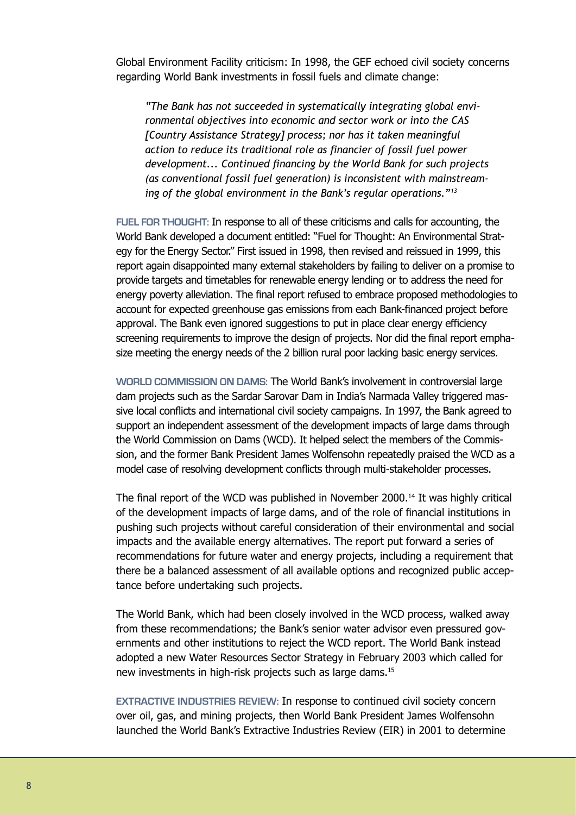Global Environment Facility criticism: In 1998, the GEF echoed civil society concerns regarding World Bank investments in fossil fuels and climate change:

*"The Bank has not succeeded in systematically integrating global environmental objectives into economic and sector work or into the CAS [Country Assistance Strategy] process; nor has it taken meaningful action to reduce its traditional role as financier of fossil fuel power development... Continued financing by the World Bank for such projects (as conventional fossil fuel generation) is inconsistent with mainstreaming of the global environment in the Bank's regular operations."13*

**FUEL FOR THOUGHT:** In response to all of these criticisms and calls for accounting, the World Bank developed a document entitled: "Fuel for Thought: An Environmental Strategy for the Energy Sector." First issued in 1998, then revised and reissued in 1999, this report again disappointed many external stakeholders by failing to deliver on a promise to provide targets and timetables for renewable energy lending or to address the need for energy poverty alleviation. The final report refused to embrace proposed methodologies to account for expected greenhouse gas emissions from each Bank-financed project before approval. The Bank even ignored suggestions to put in place clear energy efficiency screening requirements to improve the design of projects. Nor did the final report emphasize meeting the energy needs of the 2 billion rural poor lacking basic energy services.

**WORLD COMMISSION ON DAMS:** The World Bank's involvement in controversial large dam projects such as the Sardar Sarovar Dam in India's Narmada Valley triggered massive local conflicts and international civil society campaigns. In 1997, the Bank agreed to support an independent assessment of the development impacts of large dams through the World Commission on Dams (WCD). It helped select the members of the Commission, and the former Bank President James Wolfensohn repeatedly praised the WCD as a model case of resolving development conflicts through multi-stakeholder processes.

The final report of the WCD was published in November 2000.<sup>14</sup> It was highly critical of the development impacts of large dams, and of the role of financial institutions in pushing such projects without careful consideration of their environmental and social impacts and the available energy alternatives. The report put forward a series of recommendations for future water and energy projects, including a requirement that there be a balanced assessment of all available options and recognized public acceptance before undertaking such projects.

The World Bank, which had been closely involved in the WCD process, walked away from these recommendations; the Bank's senior water advisor even pressured governments and other institutions to reject the WCD report. The World Bank instead adopted a new Water Resources Sector Strategy in February 2003 which called for new investments in high-risk projects such as large dams.15

**EXTRACTIVE INDUSTRIES REVIEW:** In response to continued civil society concern over oil, gas, and mining projects, then World Bank President James Wolfensohn launched the World Bank's Extractive Industries Review (EIR) in 2001 to determine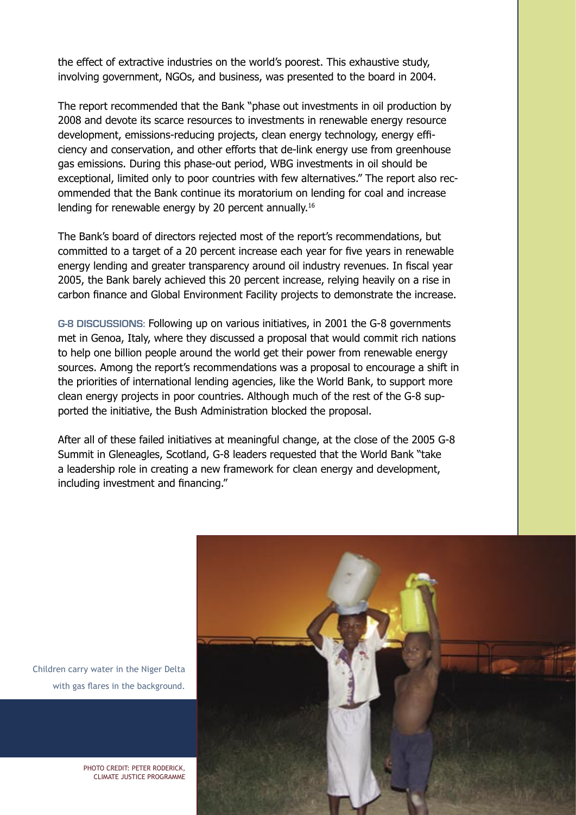the effect of extractive industries on the world's poorest. This exhaustive study, involving government, NGOs, and business, was presented to the board in 2004.

The report recommended that the Bank "phase out investments in oil production by 2008 and devote its scarce resources to investments in renewable energy resource development, emissions-reducing projects, clean energy technology, energy efficiency and conservation, and other efforts that de-link energy use from greenhouse gas emissions. During this phase-out period, WBG investments in oil should be exceptional, limited only to poor countries with few alternatives." The report also recommended that the Bank continue its moratorium on lending for coal and increase lending for renewable energy by 20 percent annually.16

The Bank's board of directors rejected most of the report's recommendations, but committed to a target of a 20 percent increase each year for five years in renewable energy lending and greater transparency around oil industry revenues. In fiscal year 2005, the Bank barely achieved this 20 percent increase, relying heavily on a rise in carbon finance and Global Environment Facility projects to demonstrate the increase.

**G-8 DISCUSSIONS:** Following up on various initiatives, in 2001 the G-8 governments met in Genoa, Italy, where they discussed a proposal that would commit rich nations to help one billion people around the world get their power from renewable energy sources. Among the report's recommendations was a proposal to encourage a shift in the priorities of international lending agencies, like the World Bank, to support more clean energy projects in poor countries. Although much of the rest of the G-8 supported the initiative, the Bush Administration blocked the proposal.

After all of these failed initiatives at meaningful change, at the close of the 2005 G-8 Summit in Gleneagles, Scotland, G-8 leaders requested that the World Bank "take a leadership role in creating a new framework for clean energy and development, including investment and financing."



Children carry water in the Niger Delta with gas flares in the background.

> PHOTO CREDIT: PETER RODERICK, CLIMATE JUSTICE PROGRAMME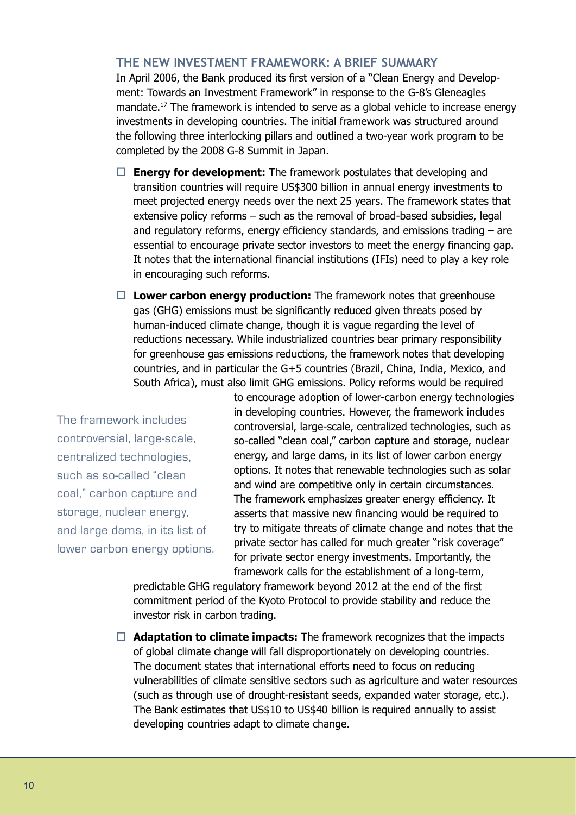#### **THE NEW INVESTMENT FRAMEWORK: A BRIEF SUMMARY**

In April 2006, the Bank produced its first version of a "Clean Energy and Development: Towards an Investment Framework" in response to the G-8's Gleneagles mandate.17 The framework is intended to serve as a global vehicle to increase energy investments in developing countries. The initial framework was structured around the following three interlocking pillars and outlined a two-year work program to be completed by the 2008 G-8 Summit in Japan.

- $\Box$  **Energy for development:** The framework postulates that developing and transition countries will require US\$300 billion in annual energy investments to meet projected energy needs over the next 25 years. The framework states that extensive policy reforms – such as the removal of broad-based subsidies, legal and regulatory reforms, energy efficiency standards, and emissions trading – are essential to encourage private sector investors to meet the energy financing gap. It notes that the international financial institutions (IFIs) need to play a key role in encouraging such reforms.
- □ Lower carbon energy production: The framework notes that greenhouse gas (GHG) emissions must be significantly reduced given threats posed by human-induced climate change, though it is vague regarding the level of reductions necessary. While industrialized countries bear primary responsibility for greenhouse gas emissions reductions, the framework notes that developing countries, and in particular the G+5 countries (Brazil, China, India, Mexico, and South Africa), must also limit GHG emissions. Policy reforms would be required

The framework includes controversial, large-scale, centralized technologies, such as so-called "clean coal," carbon capture and storage, nuclear energy, and large dams, in its list of lower carbon energy options.

to encourage adoption of lower-carbon energy technologies in developing countries. However, the framework includes controversial, large-scale, centralized technologies, such as so-called "clean coal," carbon capture and storage, nuclear energy, and large dams, in its list of lower carbon energy options. It notes that renewable technologies such as solar and wind are competitive only in certain circumstances. The framework emphasizes greater energy efficiency. It asserts that massive new financing would be required to try to mitigate threats of climate change and notes that the private sector has called for much greater "risk coverage" for private sector energy investments. Importantly, the framework calls for the establishment of a long-term,

predictable GHG regulatory framework beyond 2012 at the end of the first commitment period of the Kyoto Protocol to provide stability and reduce the investor risk in carbon trading.

 $\Box$  **Adaptation to climate impacts:** The framework recognizes that the impacts of global climate change will fall disproportionately on developing countries. The document states that international efforts need to focus on reducing vulnerabilities of climate sensitive sectors such as agriculture and water resources (such as through use of drought-resistant seeds, expanded water storage, etc.). The Bank estimates that US\$10 to US\$40 billion is required annually to assist developing countries adapt to climate change.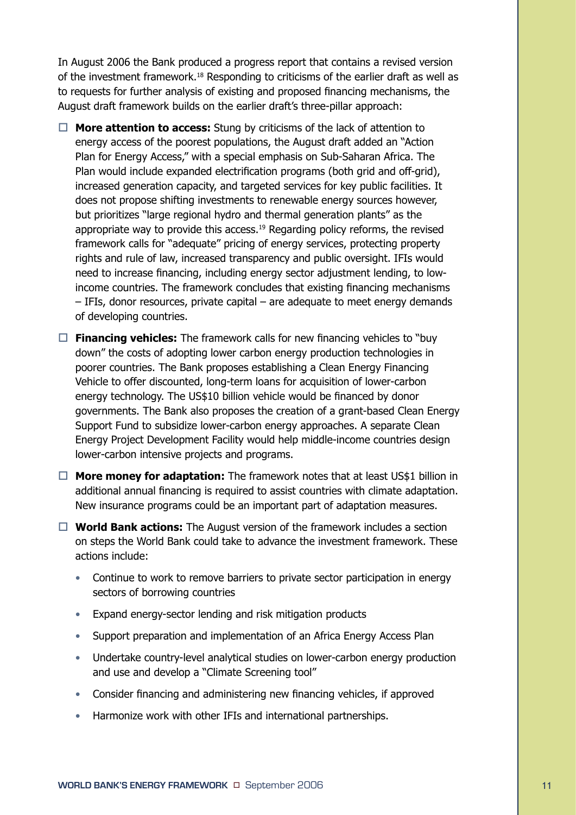In August 2006 the Bank produced a progress report that contains a revised version of the investment framework.18 Responding to criticisms of the earlier draft as well as to requests for further analysis of existing and proposed financing mechanisms, the August draft framework builds on the earlier draft's three-pillar approach:

- $\Box$  **More attention to access:** Stung by criticisms of the lack of attention to energy access of the poorest populations, the August draft added an "Action Plan for Energy Access," with a special emphasis on Sub-Saharan Africa. The Plan would include expanded electrification programs (both grid and off-grid), increased generation capacity, and targeted services for key public facilities. It does not propose shifting investments to renewable energy sources however, but prioritizes "large regional hydro and thermal generation plants" as the appropriate way to provide this access.<sup>19</sup> Regarding policy reforms, the revised framework calls for "adequate" pricing of energy services, protecting property rights and rule of law, increased transparency and public oversight. IFIs would need to increase financing, including energy sector adjustment lending, to lowincome countries. The framework concludes that existing financing mechanisms – IFIs, donor resources, private capital – are adequate to meet energy demands of developing countries.
- $\Box$  **Financing vehicles:** The framework calls for new financing vehicles to "buy" down" the costs of adopting lower carbon energy production technologies in poorer countries. The Bank proposes establishing a Clean Energy Financing Vehicle to offer discounted, long-term loans for acquisition of lower-carbon energy technology. The US\$10 billion vehicle would be financed by donor governments. The Bank also proposes the creation of a grant-based Clean Energy Support Fund to subsidize lower-carbon energy approaches. A separate Clean Energy Project Development Facility would help middle-income countries design lower-carbon intensive projects and programs.
- $\Box$  **More money for adaptation:** The framework notes that at least US\$1 billion in additional annual financing is required to assist countries with climate adaptation. New insurance programs could be an important part of adaptation measures.
- $\Box$  **World Bank actions:** The August version of the framework includes a section on steps the World Bank could take to advance the investment framework. These actions include:
	- Continue to work to remove barriers to private sector participation in energy sectors of borrowing countries
	- Expand energy-sector lending and risk mitigation products
	- Support preparation and implementation of an Africa Energy Access Plan
	- Undertake country-level analytical studies on lower-carbon energy production and use and develop a "Climate Screening tool"
	- Consider financing and administering new financing vehicles, if approved
	- Harmonize work with other IFIs and international partnerships.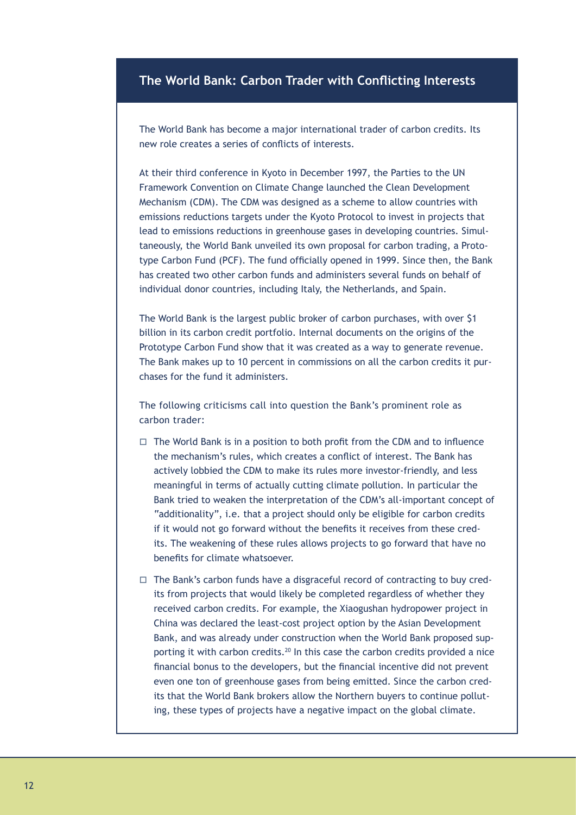### **The World Bank: Carbon Trader with Conflicting Interests**

The World Bank has become a major international trader of carbon credits. Its new role creates a series of conflicts of interests.

At their third conference in Kyoto in December 1997, the Parties to the UN Framework Convention on Climate Change launched the Clean Development Mechanism (CDM). The CDM was designed as a scheme to allow countries with emissions reductions targets under the Kyoto Protocol to invest in projects that lead to emissions reductions in greenhouse gases in developing countries. Simultaneously, the World Bank unveiled its own proposal for carbon trading, a Prototype Carbon Fund (PCF). The fund officially opened in 1999. Since then, the Bank has created two other carbon funds and administers several funds on behalf of individual donor countries, including Italy, the Netherlands, and Spain.

The World Bank is the largest public broker of carbon purchases, with over \$1 billion in its carbon credit portfolio. Internal documents on the origins of the Prototype Carbon Fund show that it was created as a way to generate revenue. The Bank makes up to 10 percent in commissions on all the carbon credits it purchases for the fund it administers.

The following criticisms call into question the Bank's prominent role as carbon trader:

- $\Box$  The World Bank is in a position to both profit from the CDM and to influence the mechanism's rules, which creates a conflict of interest. The Bank has actively lobbied the CDM to make its rules more investor-friendly, and less meaningful in terms of actually cutting climate pollution. In particular the Bank tried to weaken the interpretation of the CDM's all-important concept of "additionality", i.e. that a project should only be eligible for carbon credits if it would not go forward without the benefits it receives from these credits. The weakening of these rules allows projects to go forward that have no benefits for climate whatsoever.
- $\Box$  The Bank's carbon funds have a disgraceful record of contracting to buy credits from projects that would likely be completed regardless of whether they received carbon credits. For example, the Xiaogushan hydropower project in China was declared the least-cost project option by the Asian Development Bank, and was already under construction when the World Bank proposed supporting it with carbon credits.<sup>20</sup> In this case the carbon credits provided a nice financial bonus to the developers, but the financial incentive did not prevent even one ton of greenhouse gases from being emitted. Since the carbon credits that the World Bank brokers allow the Northern buyers to continue polluting, these types of projects have a negative impact on the global climate.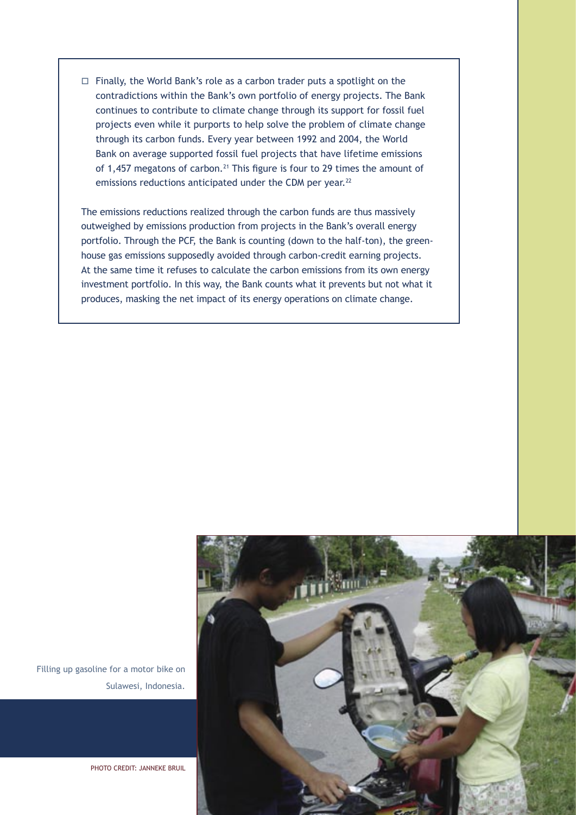$\Box$  Finally, the World Bank's role as a carbon trader puts a spotlight on the contradictions within the Bank's own portfolio of energy projects. The Bank continues to contribute to climate change through its support for fossil fuel projects even while it purports to help solve the problem of climate change through its carbon funds. Every year between 1992 and 2004, the World Bank on average supported fossil fuel projects that have lifetime emissions of 1,457 megatons of carbon.<sup>21</sup> This figure is four to 29 times the amount of emissions reductions anticipated under the CDM per year.<sup>22</sup>

The emissions reductions realized through the carbon funds are thus massively outweighed by emissions production from projects in the Bank's overall energy portfolio. Through the PCF, the Bank is counting (down to the half-ton), the greenhouse gas emissions supposedly avoided through carbon-credit earning projects. At the same time it refuses to calculate the carbon emissions from its own energy investment portfolio. In this way, the Bank counts what it prevents but not what it produces, masking the net impact of its energy operations on climate change.



Filling up gasoline for a motor bike on Sulawesi, Indonesia.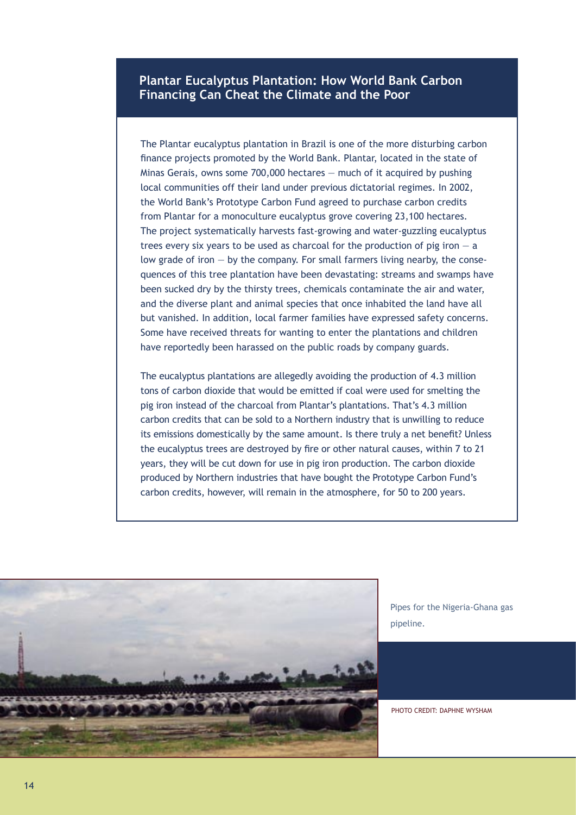#### **Plantar Eucalyptus Plantation: How World Bank Carbon Financing Can Cheat the Climate and the Poor**

The Plantar eucalyptus plantation in Brazil is one of the more disturbing carbon finance projects promoted by the World Bank. Plantar, located in the state of Minas Gerais, owns some 700,000 hectares — much of it acquired by pushing local communities off their land under previous dictatorial regimes. In 2002, the World Bank's Prototype Carbon Fund agreed to purchase carbon credits from Plantar for a monoculture eucalyptus grove covering 23,100 hectares. The project systematically harvests fast-growing and water-guzzling eucalyptus trees every six years to be used as charcoal for the production of pig iron  $-$  a low grade of iron  $-$  by the company. For small farmers living nearby, the consequences of this tree plantation have been devastating: streams and swamps have been sucked dry by the thirsty trees, chemicals contaminate the air and water, and the diverse plant and animal species that once inhabited the land have all but vanished. In addition, local farmer families have expressed safety concerns. Some have received threats for wanting to enter the plantations and children have reportedly been harassed on the public roads by company guards.

The eucalyptus plantations are allegedly avoiding the production of 4.3 million tons of carbon dioxide that would be emitted if coal were used for smelting the pig iron instead of the charcoal from Plantar's plantations. That's 4.3 million carbon credits that can be sold to a Northern industry that is unwilling to reduce its emissions domestically by the same amount. Is there truly a net benefit? Unless the eucalyptus trees are destroyed by fire or other natural causes, within 7 to 21 years, they will be cut down for use in pig iron production. The carbon dioxide produced by Northern industries that have bought the Prototype Carbon Fund's carbon credits, however, will remain in the atmosphere, for 50 to 200 years.



Pipes for the Nigeria-Ghana gas pipeline.

PHOTO CREDIT: DAPHNE WYSHAM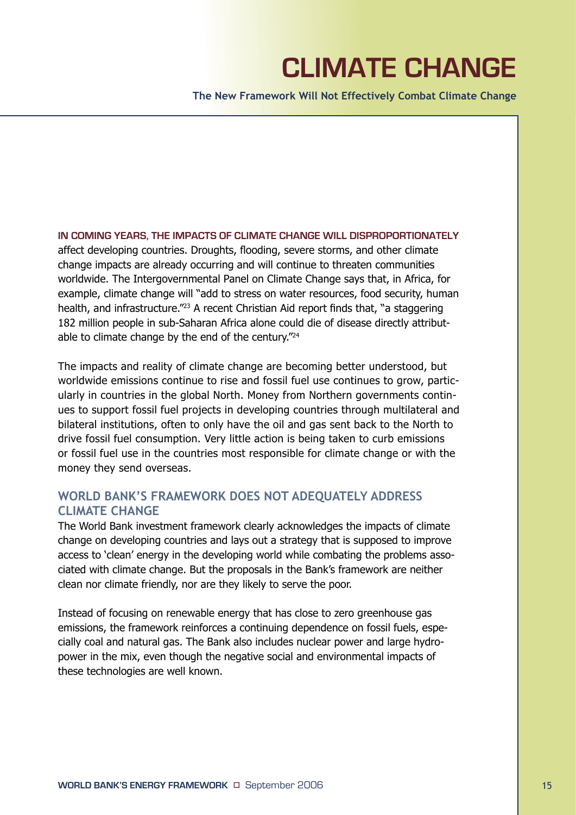# **CLIMATE CHANGE**

**The New Framework Will Not Effectively Combat Climate Change**

**IN COMING YEARS, THE IMPACTS OF CLIMATE CHANGE WILL DISPROPORTIONATELY**  affect developing countries. Droughts, flooding, severe storms, and other climate change impacts are already occurring and will continue to threaten communities worldwide. The Intergovernmental Panel on Climate Change says that, in Africa, for example, climate change will "add to stress on water resources, food security, human health, and infrastructure.<sup>"23</sup> A recent Christian Aid report finds that, "a staggering 182 million people in sub-Saharan Africa alone could die of disease directly attributable to climate change by the end of the century."24

The impacts and reality of climate change are becoming better understood, but worldwide emissions continue to rise and fossil fuel use continues to grow, particularly in countries in the global North. Money from Northern governments continues to support fossil fuel projects in developing countries through multilateral and bilateral institutions, often to only have the oil and gas sent back to the North to drive fossil fuel consumption. Very little action is being taken to curb emissions or fossil fuel use in the countries most responsible for climate change or with the money they send overseas.

### **WORLD BANK'S FRAMEWORK DOES NOT ADEQUATELY ADDRESS CLIMATE CHANGE**

The World Bank investment framework clearly acknowledges the impacts of climate change on developing countries and lays out a strategy that is supposed to improve access to 'clean' energy in the developing world while combating the problems associated with climate change. But the proposals in the Bank's framework are neither clean nor climate friendly, nor are they likely to serve the poor.

Instead of focusing on renewable energy that has close to zero greenhouse gas emissions, the framework reinforces a continuing dependence on fossil fuels, especially coal and natural gas. The Bank also includes nuclear power and large hydropower in the mix, even though the negative social and environmental impacts of these technologies are well known.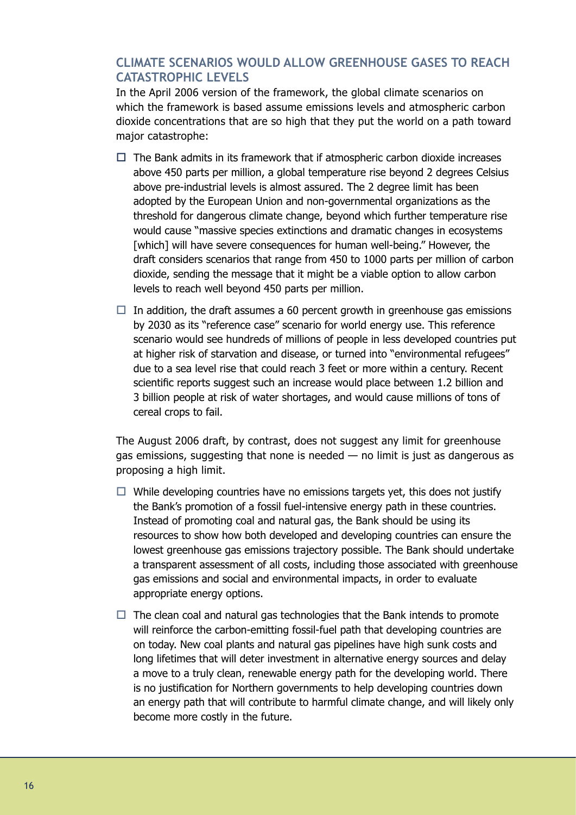### **CLIMATE SCENARIOS WOULD ALLOW GREENHOUSE GASES TO REACH CATASTROPHIC LEVELS**

In the April 2006 version of the framework, the global climate scenarios on which the framework is based assume emissions levels and atmospheric carbon dioxide concentrations that are so high that they put the world on a path toward major catastrophe:

- $\Box$  The Bank admits in its framework that if atmospheric carbon dioxide increases above 450 parts per million, a global temperature rise beyond 2 degrees Celsius above pre-industrial levels is almost assured. The 2 degree limit has been adopted by the European Union and non-governmental organizations as the threshold for dangerous climate change, beyond which further temperature rise would cause "massive species extinctions and dramatic changes in ecosystems [which] will have severe consequences for human well-being." However, the draft considers scenarios that range from 450 to 1000 parts per million of carbon dioxide, sending the message that it might be a viable option to allow carbon levels to reach well beyond 450 parts per million.
- $\Box$  In addition, the draft assumes a 60 percent growth in greenhouse gas emissions by 2030 as its "reference case" scenario for world energy use. This reference scenario would see hundreds of millions of people in less developed countries put at higher risk of starvation and disease, or turned into "environmental refugees" due to a sea level rise that could reach 3 feet or more within a century. Recent scientific reports suggest such an increase would place between 1.2 billion and 3 billion people at risk of water shortages, and would cause millions of tons of cereal crops to fail.

The August 2006 draft, by contrast, does not suggest any limit for greenhouse gas emissions, suggesting that none is needed — no limit is just as dangerous as proposing a high limit.

- $\Box$  While developing countries have no emissions targets yet, this does not justify the Bank's promotion of a fossil fuel-intensive energy path in these countries. Instead of promoting coal and natural gas, the Bank should be using its resources to show how both developed and developing countries can ensure the lowest greenhouse gas emissions trajectory possible. The Bank should undertake a transparent assessment of all costs, including those associated with greenhouse gas emissions and social and environmental impacts, in order to evaluate appropriate energy options.
- $\Box$  The clean coal and natural gas technologies that the Bank intends to promote will reinforce the carbon-emitting fossil-fuel path that developing countries are on today. New coal plants and natural gas pipelines have high sunk costs and long lifetimes that will deter investment in alternative energy sources and delay a move to a truly clean, renewable energy path for the developing world. There is no justification for Northern governments to help developing countries down an energy path that will contribute to harmful climate change, and will likely only become more costly in the future.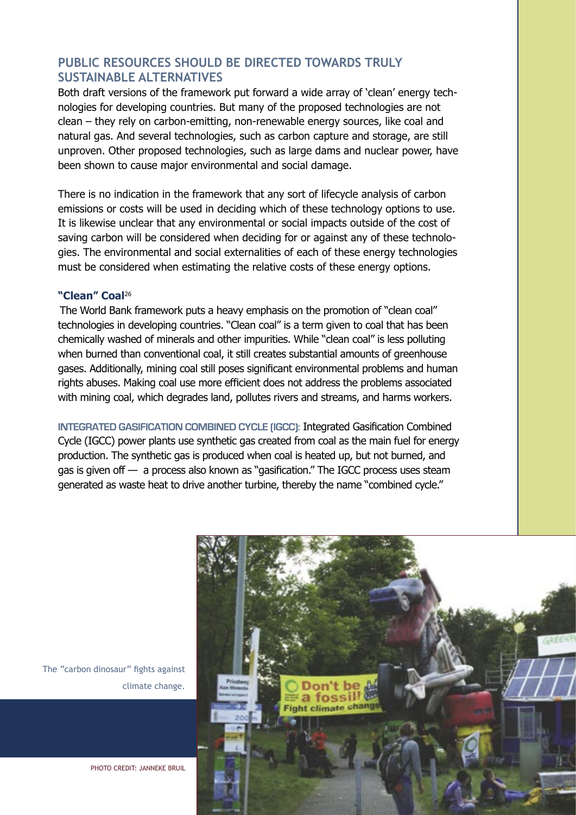### **PUBLIC RESOURCES SHOULD BE DIRECTED TOWARDS TRULY SUSTAINABLE ALTERNATIVES**

Both draft versions of the framework put forward a wide array of 'clean' energy technologies for developing countries. But many of the proposed technologies are not clean – they rely on carbon-emitting, non-renewable energy sources, like coal and natural gas. And several technologies, such as carbon capture and storage, are still unproven. Other proposed technologies, such as large dams and nuclear power, have been shown to cause major environmental and social damage.

There is no indication in the framework that any sort of lifecycle analysis of carbon emissions or costs will be used in deciding which of these technology options to use. It is likewise unclear that any environmental or social impacts outside of the cost of saving carbon will be considered when deciding for or against any of these technologies. The environmental and social externalities of each of these energy technologies must be considered when estimating the relative costs of these energy options.

#### **"Clean" Coal**<sup>26</sup>

The World Bank framework puts a heavy emphasis on the promotion of "clean coal" technologies in developing countries. "Clean coal" is a term given to coal that has been chemically washed of minerals and other impurities. While "clean coal" is less polluting when burned than conventional coal, it still creates substantial amounts of greenhouse gases. Additionally, mining coal still poses significant environmental problems and human rights abuses. Making coal use more efficient does not address the problems associated with mining coal, which degrades land, pollutes rivers and streams, and harms workers.

**INTEGRATED GASIFICATION COMBINED CYCLE (IGCC):** Integrated Gasification Combined Cycle (IGCC) power plants use synthetic gas created from coal as the main fuel for energy production. The synthetic gas is produced when coal is heated up, but not burned, and gas is given off — a process also known as "gasification." The IGCC process uses steam generated as waste heat to drive another turbine, thereby the name "combined cycle."



The "carbon dinosaur" fights against climate change.

PHOTO CREDIT: JANNEKE BRUIL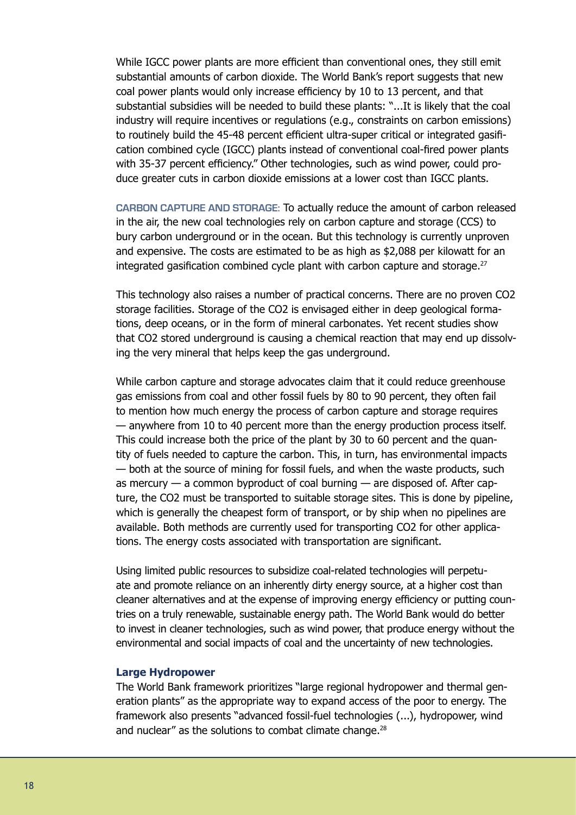While IGCC power plants are more efficient than conventional ones, they still emit substantial amounts of carbon dioxide. The World Bank's report suggests that new coal power plants would only increase efficiency by 10 to 13 percent, and that substantial subsidies will be needed to build these plants: "...It is likely that the coal industry will require incentives or regulations (e.g., constraints on carbon emissions) to routinely build the 45-48 percent efficient ultra-super critical or integrated gasification combined cycle (IGCC) plants instead of conventional coal-fired power plants with 35-37 percent efficiency." Other technologies, such as wind power, could produce greater cuts in carbon dioxide emissions at a lower cost than IGCC plants.

**CARBON CAPTURE AND STORAGE:** To actually reduce the amount of carbon released in the air, the new coal technologies rely on carbon capture and storage (CCS) to bury carbon underground or in the ocean. But this technology is currently unproven and expensive. The costs are estimated to be as high as \$2,088 per kilowatt for an integrated gasification combined cycle plant with carbon capture and storage.<sup>27</sup>

This technology also raises a number of practical concerns. There are no proven CO2 storage facilities. Storage of the CO2 is envisaged either in deep geological formations, deep oceans, or in the form of mineral carbonates. Yet recent studies show that CO2 stored underground is causing a chemical reaction that may end up dissolving the very mineral that helps keep the gas underground.

While carbon capture and storage advocates claim that it could reduce greenhouse gas emissions from coal and other fossil fuels by 80 to 90 percent, they often fail to mention how much energy the process of carbon capture and storage requires — anywhere from 10 to 40 percent more than the energy production process itself. This could increase both the price of the plant by 30 to 60 percent and the quantity of fuels needed to capture the carbon. This, in turn, has environmental impacts — both at the source of mining for fossil fuels, and when the waste products, such as mercury — a common byproduct of coal burning — are disposed of. After capture, the CO2 must be transported to suitable storage sites. This is done by pipeline, which is generally the cheapest form of transport, or by ship when no pipelines are available. Both methods are currently used for transporting CO2 for other applications. The energy costs associated with transportation are significant.

Using limited public resources to subsidize coal-related technologies will perpetuate and promote reliance on an inherently dirty energy source, at a higher cost than cleaner alternatives and at the expense of improving energy efficiency or putting countries on a truly renewable, sustainable energy path. The World Bank would do better to invest in cleaner technologies, such as wind power, that produce energy without the environmental and social impacts of coal and the uncertainty of new technologies.

#### **Large Hydropower**

The World Bank framework prioritizes "large regional hydropower and thermal generation plants" as the appropriate way to expand access of the poor to energy. The framework also presents "advanced fossil-fuel technologies (...), hydropower, wind and nuclear" as the solutions to combat climate change.<sup>28</sup>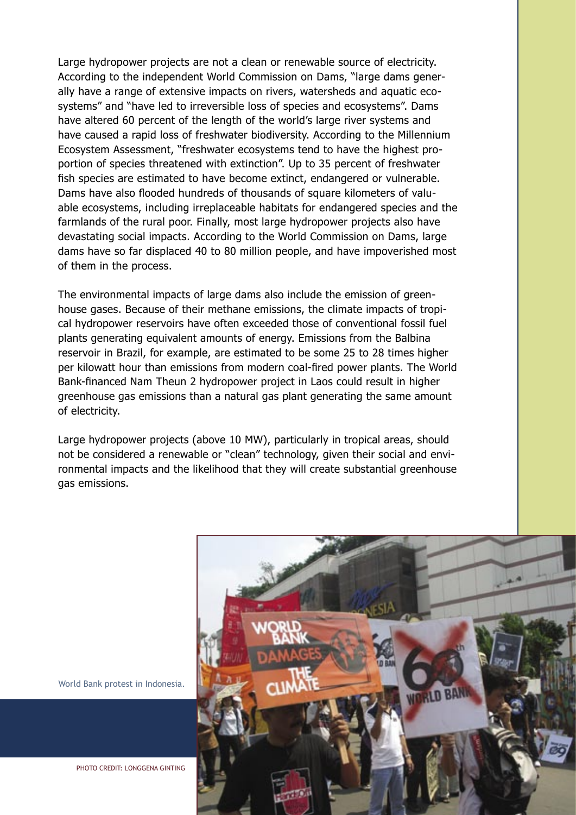Large hydropower projects are not a clean or renewable source of electricity. According to the independent World Commission on Dams, "large dams generally have a range of extensive impacts on rivers, watersheds and aquatic ecosystems" and "have led to irreversible loss of species and ecosystems". Dams have altered 60 percent of the length of the world's large river systems and have caused a rapid loss of freshwater biodiversity. According to the Millennium Ecosystem Assessment, "freshwater ecosystems tend to have the highest proportion of species threatened with extinction". Up to 35 percent of freshwater fish species are estimated to have become extinct, endangered or vulnerable. Dams have also flooded hundreds of thousands of square kilometers of valuable ecosystems, including irreplaceable habitats for endangered species and the farmlands of the rural poor. Finally, most large hydropower projects also have devastating social impacts. According to the World Commission on Dams, large dams have so far displaced 40 to 80 million people, and have impoverished most of them in the process.

The environmental impacts of large dams also include the emission of greenhouse gases. Because of their methane emissions, the climate impacts of tropical hydropower reservoirs have often exceeded those of conventional fossil fuel plants generating equivalent amounts of energy. Emissions from the Balbina reservoir in Brazil, for example, are estimated to be some 25 to 28 times higher per kilowatt hour than emissions from modern coal-fired power plants. The World Bank-financed Nam Theun 2 hydropower project in Laos could result in higher greenhouse gas emissions than a natural gas plant generating the same amount of electricity.

Large hydropower projects (above 10 MW), particularly in tropical areas, should not be considered a renewable or "clean" technology, given their social and environmental impacts and the likelihood that they will create substantial greenhouse gas emissions.



World Bank protest in Indonesia.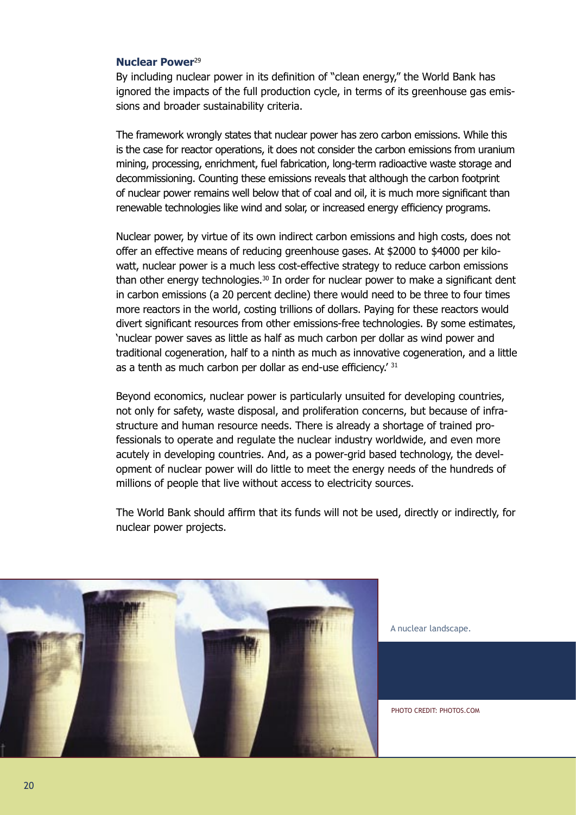#### **Nuclear Power**<sup>29</sup>

By including nuclear power in its definition of "clean energy," the World Bank has ignored the impacts of the full production cycle, in terms of its greenhouse gas emissions and broader sustainability criteria.

The framework wrongly states that nuclear power has zero carbon emissions. While this is the case for reactor operations, it does not consider the carbon emissions from uranium mining, processing, enrichment, fuel fabrication, long-term radioactive waste storage and decommissioning. Counting these emissions reveals that although the carbon footprint of nuclear power remains well below that of coal and oil, it is much more significant than renewable technologies like wind and solar, or increased energy efficiency programs.

Nuclear power, by virtue of its own indirect carbon emissions and high costs, does not offer an effective means of reducing greenhouse gases. At \$2000 to \$4000 per kilowatt, nuclear power is a much less cost-effective strategy to reduce carbon emissions than other energy technologies.<sup>30</sup> In order for nuclear power to make a significant dent in carbon emissions (a 20 percent decline) there would need to be three to four times more reactors in the world, costing trillions of dollars. Paying for these reactors would divert significant resources from other emissions-free technologies. By some estimates, 'nuclear power saves as little as half as much carbon per dollar as wind power and traditional cogeneration, half to a ninth as much as innovative cogeneration, and a little as a tenth as much carbon per dollar as end-use efficiency.<sup>' 31</sup>

Beyond economics, nuclear power is particularly unsuited for developing countries, not only for safety, waste disposal, and proliferation concerns, but because of infrastructure and human resource needs. There is already a shortage of trained professionals to operate and regulate the nuclear industry worldwide, and even more acutely in developing countries. And, as a power-grid based technology, the development of nuclear power will do little to meet the energy needs of the hundreds of millions of people that live without access to electricity sources.

The World Bank should affirm that its funds will not be used, directly or indirectly, for nuclear power projects.



A nuclear landscape.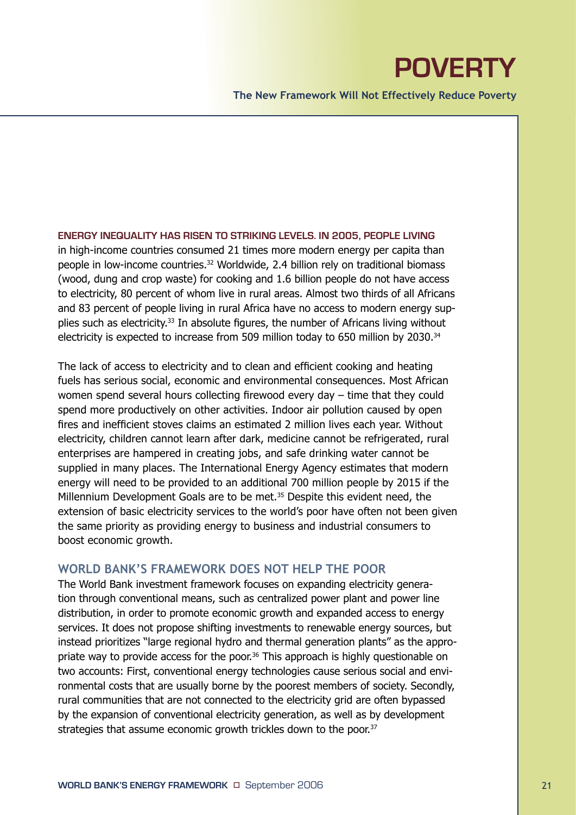## **POVERTY**

**The New Framework Will Not Effectively Reduce Poverty**

**ENERGY INEQUALITY HAS RISEN TO STRIKING LEVELS. IN 2005, PEOPLE LIVING**  in high-income countries consumed 21 times more modern energy per capita than people in low-income countries.32 Worldwide, 2.4 billion rely on traditional biomass (wood, dung and crop waste) for cooking and 1.6 billion people do not have access to electricity, 80 percent of whom live in rural areas. Almost two thirds of all Africans and 83 percent of people living in rural Africa have no access to modern energy supplies such as electricity.<sup>33</sup> In absolute figures, the number of Africans living without electricity is expected to increase from 509 million today to 650 million by 2030.<sup>34</sup>

The lack of access to electricity and to clean and efficient cooking and heating fuels has serious social, economic and environmental consequences. Most African women spend several hours collecting firewood every day – time that they could spend more productively on other activities. Indoor air pollution caused by open fires and inefficient stoves claims an estimated 2 million lives each year. Without electricity, children cannot learn after dark, medicine cannot be refrigerated, rural enterprises are hampered in creating jobs, and safe drinking water cannot be supplied in many places. The International Energy Agency estimates that modern energy will need to be provided to an additional 700 million people by 2015 if the Millennium Development Goals are to be met.<sup>35</sup> Despite this evident need, the extension of basic electricity services to the world's poor have often not been given the same priority as providing energy to business and industrial consumers to boost economic growth.

#### **WORLD BANK'S FRAMEWORK DOES NOT HELP THE POOR**

The World Bank investment framework focuses on expanding electricity generation through conventional means, such as centralized power plant and power line distribution, in order to promote economic growth and expanded access to energy services. It does not propose shifting investments to renewable energy sources, but instead prioritizes "large regional hydro and thermal generation plants" as the appropriate way to provide access for the poor.<sup>36</sup> This approach is highly questionable on two accounts: First, conventional energy technologies cause serious social and environmental costs that are usually borne by the poorest members of society. Secondly, rural communities that are not connected to the electricity grid are often bypassed by the expansion of conventional electricity generation, as well as by development strategies that assume economic growth trickles down to the poor.<sup>37</sup>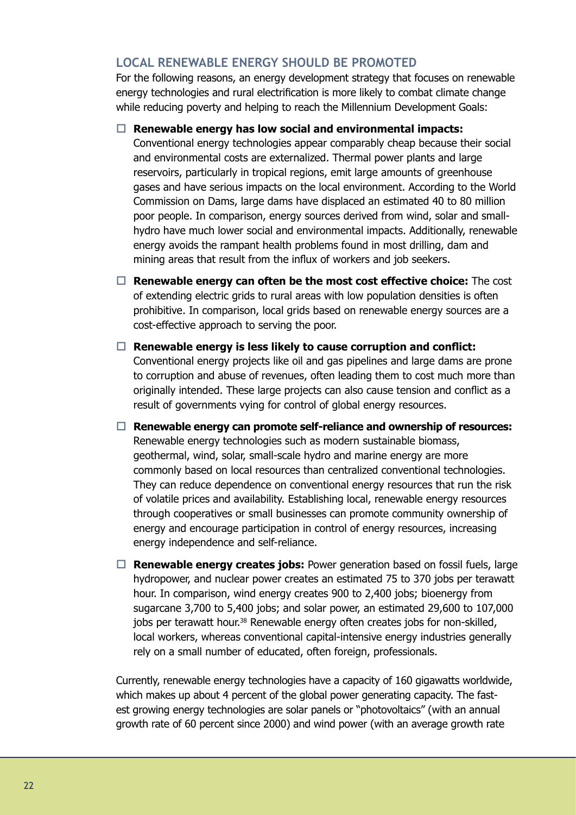### **LOCAL RENEWABLE ENERGY SHOULD BE PROMOTED**

For the following reasons, an energy development strategy that focuses on renewable energy technologies and rural electrification is more likely to combat climate change while reducing poverty and helping to reach the Millennium Development Goals:

#### □ Renewable energy has low social and environmental impacts:

Conventional energy technologies appear comparably cheap because their social and environmental costs are externalized. Thermal power plants and large reservoirs, particularly in tropical regions, emit large amounts of greenhouse gases and have serious impacts on the local environment. According to the World Commission on Dams, large dams have displaced an estimated 40 to 80 million poor people. In comparison, energy sources derived from wind, solar and smallhydro have much lower social and environmental impacts. Additionally, renewable energy avoids the rampant health problems found in most drilling, dam and mining areas that result from the influx of workers and job seekers.

- □ Renewable energy can often be the most cost effective choice: The cost of extending electric grids to rural areas with low population densities is often prohibitive. In comparison, local grids based on renewable energy sources are a cost-effective approach to serving the poor.
- $\Box$  Renewable energy is less likely to cause corruption and conflict: Conventional energy projects like oil and gas pipelines and large dams are prone to corruption and abuse of revenues, often leading them to cost much more than originally intended. These large projects can also cause tension and conflict as a result of governments vying for control of global energy resources.
- □ Renewable energy can promote self-reliance and ownership of resources: Renewable energy technologies such as modern sustainable biomass, geothermal, wind, solar, small-scale hydro and marine energy are more commonly based on local resources than centralized conventional technologies. They can reduce dependence on conventional energy resources that run the risk of volatile prices and availability. Establishing local, renewable energy resources through cooperatives or small businesses can promote community ownership of energy and encourage participation in control of energy resources, increasing energy independence and self-reliance.
- $\Box$  **Renewable energy creates jobs:** Power generation based on fossil fuels, large hydropower, and nuclear power creates an estimated 75 to 370 jobs per terawatt hour. In comparison, wind energy creates 900 to 2,400 jobs; bioenergy from sugarcane 3,700 to 5,400 jobs; and solar power, an estimated 29,600 to 107,000 jobs per terawatt hour.<sup>38</sup> Renewable energy often creates jobs for non-skilled, local workers, whereas conventional capital-intensive energy industries generally rely on a small number of educated, often foreign, professionals.

Currently, renewable energy technologies have a capacity of 160 gigawatts worldwide, which makes up about 4 percent of the global power generating capacity. The fastest growing energy technologies are solar panels or "photovoltaics" (with an annual growth rate of 60 percent since 2000) and wind power (with an average growth rate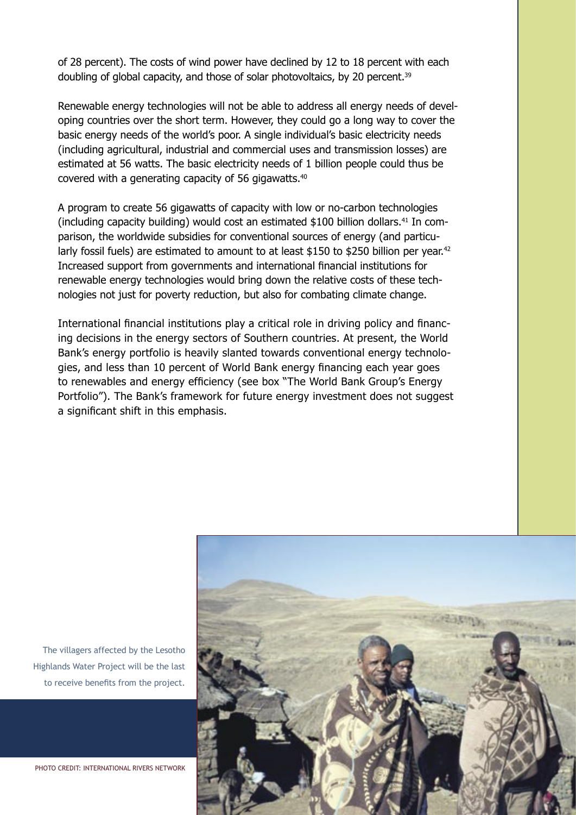of 28 percent). The costs of wind power have declined by 12 to 18 percent with each doubling of global capacity, and those of solar photovoltaics, by 20 percent.<sup>39</sup>

Renewable energy technologies will not be able to address all energy needs of developing countries over the short term. However, they could go a long way to cover the basic energy needs of the world's poor. A single individual's basic electricity needs (including agricultural, industrial and commercial uses and transmission losses) are estimated at 56 watts. The basic electricity needs of 1 billion people could thus be covered with a generating capacity of 56 gigawatts.40

A program to create 56 gigawatts of capacity with low or no-carbon technologies (including capacity building) would cost an estimated \$100 billion dollars.<sup>41</sup> In comparison, the worldwide subsidies for conventional sources of energy (and particularly fossil fuels) are estimated to amount to at least \$150 to \$250 billion per year.<sup>42</sup> Increased support from governments and international financial institutions for renewable energy technologies would bring down the relative costs of these technologies not just for poverty reduction, but also for combating climate change.

International financial institutions play a critical role in driving policy and financing decisions in the energy sectors of Southern countries. At present, the World Bank's energy portfolio is heavily slanted towards conventional energy technologies, and less than 10 percent of World Bank energy financing each year goes to renewables and energy efficiency (see box "The World Bank Group's Energy Portfolio"). The Bank's framework for future energy investment does not suggest a significant shift in this emphasis.



The villagers affected by the Lesotho Highlands Water Project will be the last to receive benefits from the project.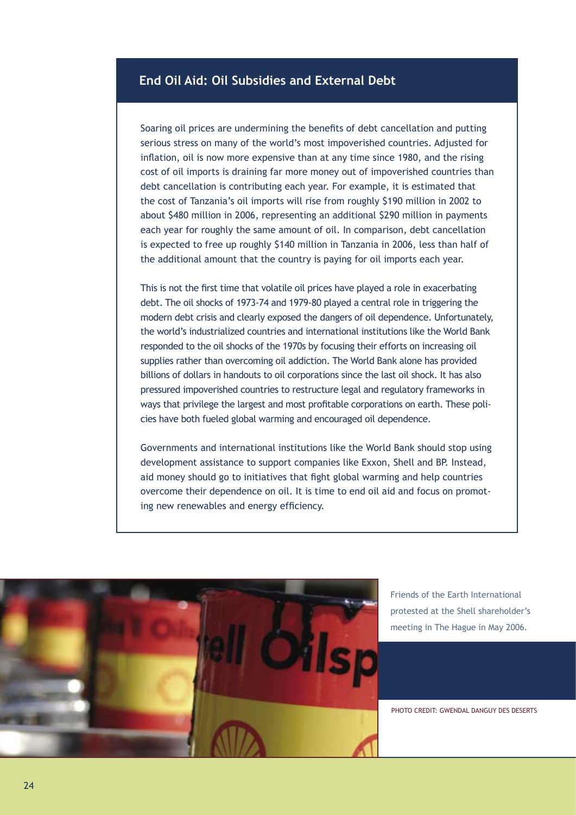### **End Oil Aid: Oil Subsidies and External Debt**

Soaring oil prices are undermining the benefits of debt cancellation and putting serious stress on many of the world's most impoverished countries. Adjusted for inflation, oil is now more expensive than at any time since 1980, and the rising cost of oil imports is draining far more money out of impoverished countries than debt cancellation is contributing each year. For example, it is estimated that the cost of Tanzania's oil imports will rise from roughly \$190 million in 2002 to about \$480 million in 2006, representing an additional \$290 million in payments each year for roughly the same amount of oil. In comparison, debt cancellation is expected to free up roughly \$140 million in Tanzania in 2006, less than half of the additional amount that the country is paying for oil imports each year.

This is not the first time that volatile oil prices have played a role in exacerbating debt. The oil shocks of 1973-74 and 1979-80 played a central role in triggering the modern debt crisis and clearly exposed the dangers of oil dependence. Unfortunately, the world's industrialized countries and international institutions like the World Bank responded to the oil shocks of the 1970s by focusing their efforts on increasing oil supplies rather than overcoming oil addiction. The World Bank alone has provided billions of dollars in handouts to oil corporations since the last oil shock. It has also pressured impoverished countries to restructure legal and regulatory frameworks in ways that privilege the largest and most profitable corporations on earth. These policies have both fueled global warming and encouraged oil dependence.

Governments and international institutions like the World Bank should stop using development assistance to support companies like Exxon, Shell and BP. Instead, aid money should go to initiatives that fight global warming and help countries overcome their dependence on oil. It is time to end oil aid and focus on promoting new renewables and energy efficiency.



Friends of the Earth International protested at the Shell shareholder's meeting in The Hague in May 2006.

PHOTO CREDIT: GWENDAL DANGUY DES DESERTS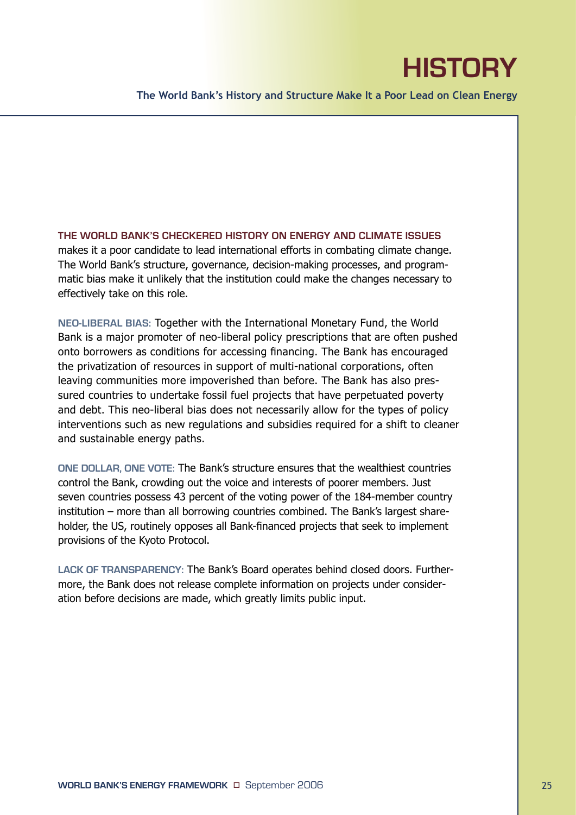# **HISTORY**

**The World Bank's History and Structure Make It a Poor Lead on Clean Energy**

**THE WORLD BANK'S CHECKERED HISTORY ON ENERGY AND CLIMATE ISSUES**  makes it a poor candidate to lead international efforts in combating climate change. The World Bank's structure, governance, decision-making processes, and programmatic bias make it unlikely that the institution could make the changes necessary to effectively take on this role.

**NEO-LIBERAL BIAS:** Together with the International Monetary Fund, the World Bank is a major promoter of neo-liberal policy prescriptions that are often pushed onto borrowers as conditions for accessing financing. The Bank has encouraged the privatization of resources in support of multi-national corporations, often leaving communities more impoverished than before. The Bank has also pressured countries to undertake fossil fuel projects that have perpetuated poverty and debt. This neo-liberal bias does not necessarily allow for the types of policy interventions such as new regulations and subsidies required for a shift to cleaner and sustainable energy paths.

**ONE DOLLAR, ONE VOTE:** The Bank's structure ensures that the wealthiest countries control the Bank, crowding out the voice and interests of poorer members. Just seven countries possess 43 percent of the voting power of the 184-member country institution – more than all borrowing countries combined. The Bank's largest shareholder, the US, routinely opposes all Bank-financed projects that seek to implement provisions of the Kyoto Protocol.

**LACK OF TRANSPARENCY:** The Bank's Board operates behind closed doors. Furthermore, the Bank does not release complete information on projects under consideration before decisions are made, which greatly limits public input.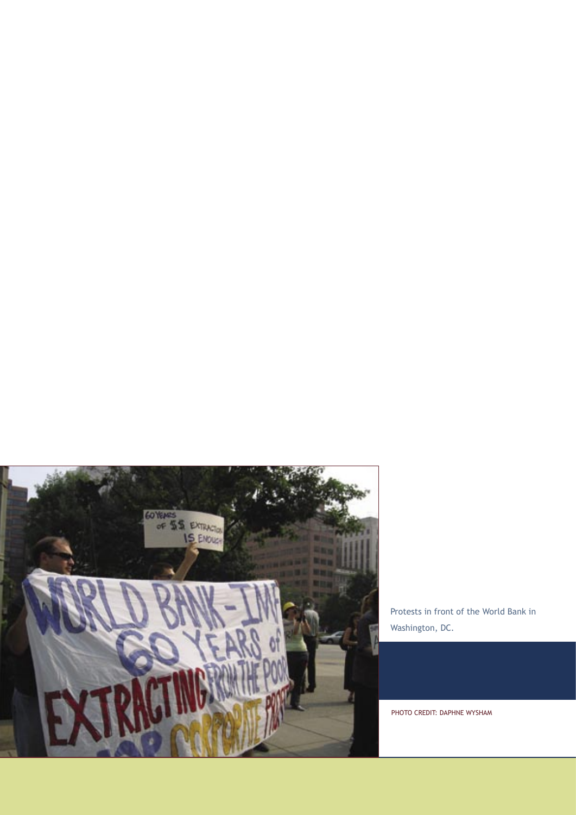

Protests in front of the World Bank in Washington, DC.

PHOTO CREDIT: DAPHNE WYSHAM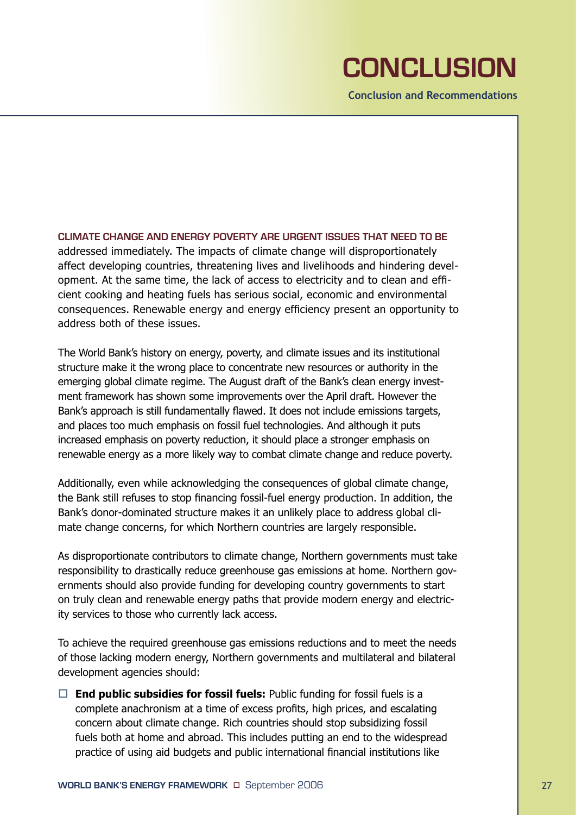# **CONCLUSION**

**Conclusion and Recommendations** 

**CLIMATE CHANGE AND ENERGY POVERTY ARE URGENT ISSUES THAT NEED TO BE** addressed immediately. The impacts of climate change will disproportionately affect developing countries, threatening lives and livelihoods and hindering development. At the same time, the lack of access to electricity and to clean and efficient cooking and heating fuels has serious social, economic and environmental consequences. Renewable energy and energy efficiency present an opportunity to address both of these issues.

The World Bank's history on energy, poverty, and climate issues and its institutional structure make it the wrong place to concentrate new resources or authority in the emerging global climate regime. The August draft of the Bank's clean energy investment framework has shown some improvements over the April draft. However the Bank's approach is still fundamentally flawed. It does not include emissions targets, and places too much emphasis on fossil fuel technologies. And although it puts increased emphasis on poverty reduction, it should place a stronger emphasis on renewable energy as a more likely way to combat climate change and reduce poverty.

Additionally, even while acknowledging the consequences of global climate change, the Bank still refuses to stop financing fossil-fuel energy production. In addition, the Bank's donor-dominated structure makes it an unlikely place to address global climate change concerns, for which Northern countries are largely responsible.

As disproportionate contributors to climate change, Northern governments must take responsibility to drastically reduce greenhouse gas emissions at home. Northern governments should also provide funding for developing country governments to start on truly clean and renewable energy paths that provide modern energy and electricity services to those who currently lack access.

To achieve the required greenhouse gas emissions reductions and to meet the needs of those lacking modern energy, Northern governments and multilateral and bilateral development agencies should:

 $\Box$  **End public subsidies for fossil fuels:** Public funding for fossil fuels is a complete anachronism at a time of excess profits, high prices, and escalating concern about climate change. Rich countries should stop subsidizing fossil fuels both at home and abroad. This includes putting an end to the widespread practice of using aid budgets and public international financial institutions like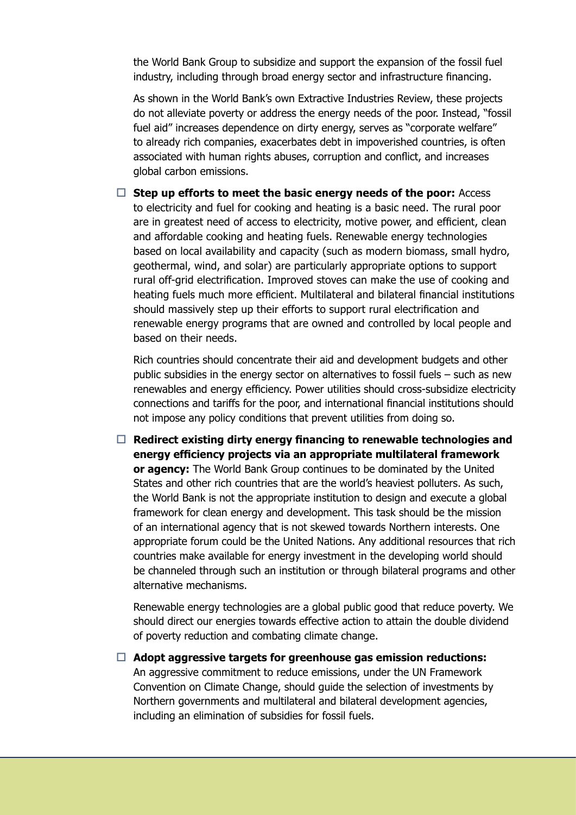the World Bank Group to subsidize and support the expansion of the fossil fuel industry, including through broad energy sector and infrastructure financing.

 As shown in the World Bank's own Extractive Industries Review, these projects do not alleviate poverty or address the energy needs of the poor. Instead, "fossil fuel aid" increases dependence on dirty energy, serves as "corporate welfare" to already rich companies, exacerbates debt in impoverished countries, is often associated with human rights abuses, corruption and conflict, and increases global carbon emissions.

 $\Box$  Step up efforts to meet the basic energy needs of the poor: Access to electricity and fuel for cooking and heating is a basic need. The rural poor are in greatest need of access to electricity, motive power, and efficient, clean and affordable cooking and heating fuels. Renewable energy technologies based on local availability and capacity (such as modern biomass, small hydro, geothermal, wind, and solar) are particularly appropriate options to support rural off-grid electrification. Improved stoves can make the use of cooking and heating fuels much more efficient. Multilateral and bilateral financial institutions should massively step up their efforts to support rural electrification and renewable energy programs that are owned and controlled by local people and based on their needs.

 Rich countries should concentrate their aid and development budgets and other public subsidies in the energy sector on alternatives to fossil fuels – such as new renewables and energy efficiency. Power utilities should cross-subsidize electricity connections and tariffs for the poor, and international financial institutions should not impose any policy conditions that prevent utilities from doing so.

□ Redirect existing dirty energy financing to renewable technologies and **energy efficiency projects via an appropriate multilateral framework or agency:** The World Bank Group continues to be dominated by the United States and other rich countries that are the world's heaviest polluters. As such, the World Bank is not the appropriate institution to design and execute a global framework for clean energy and development. This task should be the mission of an international agency that is not skewed towards Northern interests. One appropriate forum could be the United Nations. Any additional resources that rich countries make available for energy investment in the developing world should be channeled through such an institution or through bilateral programs and other alternative mechanisms.

 Renewable energy technologies are a global public good that reduce poverty. We should direct our energies towards effective action to attain the double dividend of poverty reduction and combating climate change.

□ Adopt aggressive targets for greenhouse gas emission reductions: An aggressive commitment to reduce emissions, under the UN Framework Convention on Climate Change, should guide the selection of investments by Northern governments and multilateral and bilateral development agencies, including an elimination of subsidies for fossil fuels.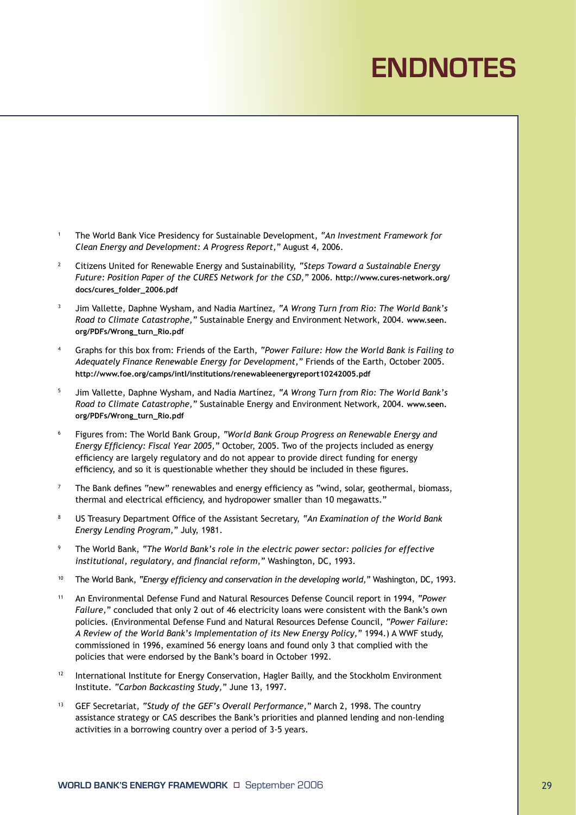# **ENDNOTES**

- 1 The World Bank Vice Presidency for Sustainable Development, *"An Investment Framework for Clean Energy and Development: A Progress Report,"* August 4, 2006.
- 2 Citizens United for Renewable Energy and Sustainability, *"Steps Toward a Sustainable Energy Future: Position Paper of the CURES Network for the CSD,"* 2006. **http://www.cures-network.org/ docs/cures\_folder\_2006.pdf**
- 3 Jim Vallette, Daphne Wysham, and Nadia Martínez, *"A Wrong Turn from Rio: The World Bank's Road to Climate Catastrophe,"* Sustainable Energy and Environment Network, 2004. **www.seen. org/PDFs/Wrong\_turn\_Rio.pdf**
- 4 Graphs for this box from: Friends of the Earth, *"Power Failure: How the World Bank is Failing to Adequately Finance Renewable Energy for Development,"* Friends of the Earth, October 2005. **http://www.foe.org/camps/intl/institutions/renewableenergyreport10242005.pdf**
- 5 Jim Vallette, Daphne Wysham, and Nadia Martínez, *"A Wrong Turn from Rio: The World Bank's Road to Climate Catastrophe,"* Sustainable Energy and Environment Network, 2004. **www.seen. org/PDFs/Wrong\_turn\_Rio.pdf**
- 6 Figures from: The World Bank Group, *"World Bank Group Progress on Renewable Energy and Energy Efficiency: Fiscal Year 2005,"* October, 2005. Two of the projects included as energy efficiency are largely regulatory and do not appear to provide direct funding for energy efficiency, and so it is questionable whether they should be included in these figures.
- $7$  The Bank defines "new" renewables and energy efficiency as "wind, solar, geothermal, biomass, thermal and electrical efficiency, and hydropower smaller than 10 megawatts."
- 8 US Treasury Department Office of the Assistant Secretary, *"An Examination of the World Bank Energy Lending Program,"* July, 1981.
- 9 The World Bank, *"The World Bank's role in the electric power sector: policies for effective institutional, regulatory, and financial reform,"* Washington, DC, 1993.
- 10 The World Bank, *"Energy efficiency and conservation in the developing world,"* Washington, DC, 1993.
- 11 An Environmental Defense Fund and Natural Resources Defense Council report in 1994, *"Power Failure,"* concluded that only 2 out of 46 electricity loans were consistent with the Bank's own policies. (Environmental Defense Fund and Natural Resources Defense Council, *"Power Failure: A Review of the World Bank's Implementation of its New Energy Policy,"* 1994.) A WWF study, commissioned in 1996, examined 56 energy loans and found only 3 that complied with the policies that were endorsed by the Bank's board in October 1992.
- 12 International Institute for Energy Conservation, Hagler Bailly, and the Stockholm Environment Institute. *"Carbon Backcasting Study,"* June 13, 1997.
- 13 GEF Secretariat, *"Study of the GEF's Overall Performance,"* March 2, 1998. The country assistance strategy or CAS describes the Bank's priorities and planned lending and non-lending activities in a borrowing country over a period of 3-5 years.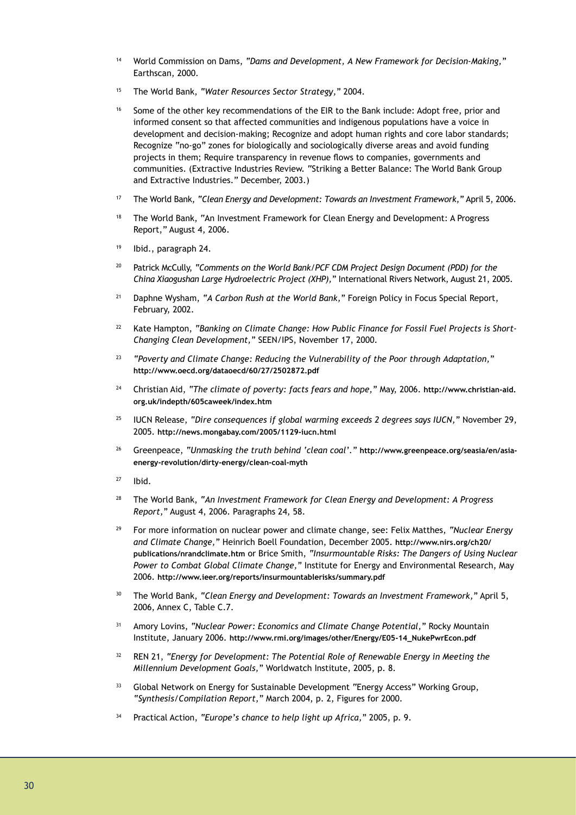- 14 World Commission on Dams, *"Dams and Development, A New Framework for Decision-Making,"* Earthscan, 2000.
- 15 The World Bank, *"Water Resources Sector Strategy,"* 2004.
- <sup>16</sup> Some of the other key recommendations of the EIR to the Bank include: Adopt free, prior and informed consent so that affected communities and indigenous populations have a voice in development and decision-making; Recognize and adopt human rights and core labor standards; Recognize "no-go" zones for biologically and sociologically diverse areas and avoid funding projects in them; Require transparency in revenue flows to companies, governments and communities. (Extractive Industries Review. "Striking a Better Balance: The World Bank Group and Extractive Industries." December, 2003.)
- 17 The World Bank, *"Clean Energy and Development: Towards an Investment Framework,"* April 5, 2006.
- <sup>18</sup> The World Bank, "An Investment Framework for Clean Energy and Development: A Progress Report," August 4, 2006.
- 19 Ibid., paragraph 24.
- 20 Patrick McCully, *"Comments on the World Bank/PCF CDM Project Design Document (PDD) for the China Xiaogushan Large Hydroelectric Project (XHP),"* International Rivers Network, August 21, 2005.
- <sup>21</sup> Daphne Wysham, "A Carbon Rush at the World Bank," Foreign Policy in Focus Special Report, February, 2002.
- <sup>22</sup> Kate Hampton, "Banking on Climate Change: How Public Finance for Fossil Fuel Projects is Short-*Changing Clean Development,"* SEEN/IPS, November 17, 2000.
- <sup>23</sup>*"Poverty and Climate Change: Reducing the Vulnerability of the Poor through Adaptation,"*  **http://www.oecd.org/dataoecd/60/27/2502872.pdf**
- 24 Christian Aid, *"The climate of poverty: facts fears and hope,"* May, 2006. **http://www.christian-aid. org.uk/indepth/605caweek/index.htm**
- 25 IUCN Release, *"Dire consequences if global warming exceeds 2 degrees says IUCN,"* November 29, 2005. **http://news.mongabay.com/2005/1129-iucn.html**
- 26 Greenpeace, *"Unmasking the truth behind 'clean coal'."* **http://www.greenpeace.org/seasia/en/asiaenergy-revolution/dirty-energy/clean-coal-myth**
- 27 Ibid.
- 28 The World Bank, *"An Investment Framework for Clean Energy and Development: A Progress Report,"* August 4, 2006. Paragraphs 24, 58.
- 29 For more information on nuclear power and climate change, see: Felix Matthes, *"Nuclear Energy and Climate Change,"* Heinrich Boell Foundation, December 2005. **http://www.nirs.org/ch20/ publications/nrandclimate.htm** or Brice Smith, *"Insurmountable Risks: The Dangers of Using Nuclear Power to Combat Global Climate Change,"* Institute for Energy and Environmental Research, May 2006. **http://www.ieer.org/reports/insurmountablerisks/summary.pdf**
- <sup>30</sup> The World Bank, "Clean Energy and Development: Towards an Investment Framework," April 5, 2006, Annex C, Table C.7.
- 31 Amory Lovins, *"Nuclear Power: Economics and Climate Change Potential,"* Rocky Mountain Institute, January 2006. **http://www.rmi.org/images/other/Energy/E05-14\_NukePwrEcon.pdf**
- 32 REN 21, *"Energy for Development: The Potential Role of Renewable Energy in Meeting the Millennium Development Goals,"* Worldwatch Institute, 2005, p. 8.
- <sup>33</sup> Global Network on Energy for Sustainable Development "Energy Access" Working Group, *"Synthesis/Compilation Report,"* March 2004, p. 2, Figures for 2000.
- 34 Practical Action, *"Europe's chance to help light up Africa,"* 2005, p. 9.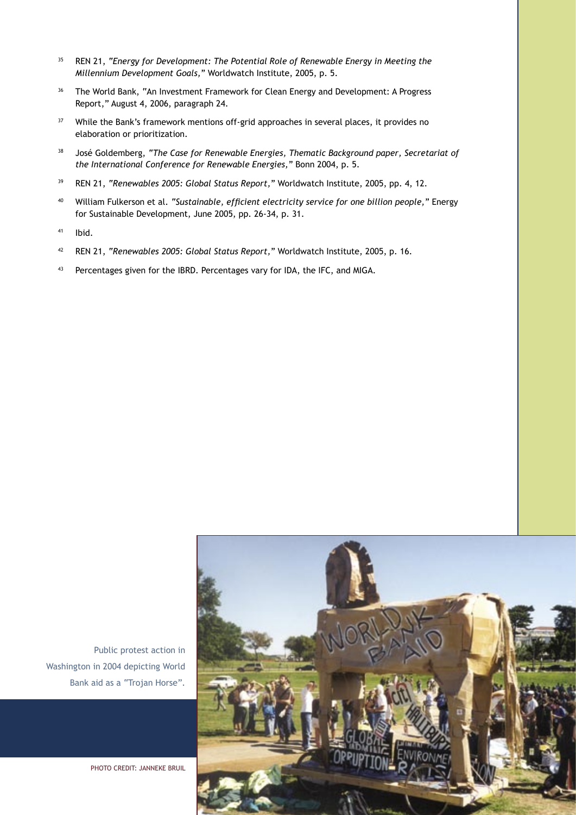- 35 REN 21, *"Energy for Development: The Potential Role of Renewable Energy in Meeting the Millennium Development Goals,"* Worldwatch Institute, 2005, p. 5.
- <sup>36</sup> The World Bank, "An Investment Framework for Clean Energy and Development: A Progress Report," August 4, 2006, paragraph 24.
- <sup>37</sup> While the Bank's framework mentions off-grid approaches in several places, it provides no elaboration or prioritization.
- 38 José Goldemberg, *"The Case for Renewable Energies, Thematic Background paper, Secretariat of the International Conference for Renewable Energies,"* Bonn 2004, p. 5.
- 39 REN 21, *"Renewables 2005: Global Status Report,"* Worldwatch Institute, 2005, pp. 4, 12.
- 40 William Fulkerson et al. *"Sustainable, efficient electricity service for one billion people,"* Energy for Sustainable Development, June 2005, pp. 26-34, p. 31.
- 41 Ibid.
- 42 REN 21, *"Renewables 2005: Global Status Report,"* Worldwatch Institute, 2005, p. 16.
- 43 Percentages given for the IBRD. Percentages vary for IDA, the IFC, and MIGA.



Public protest action in Washington in 2004 depicting World Bank aid as a "Trojan Horse".